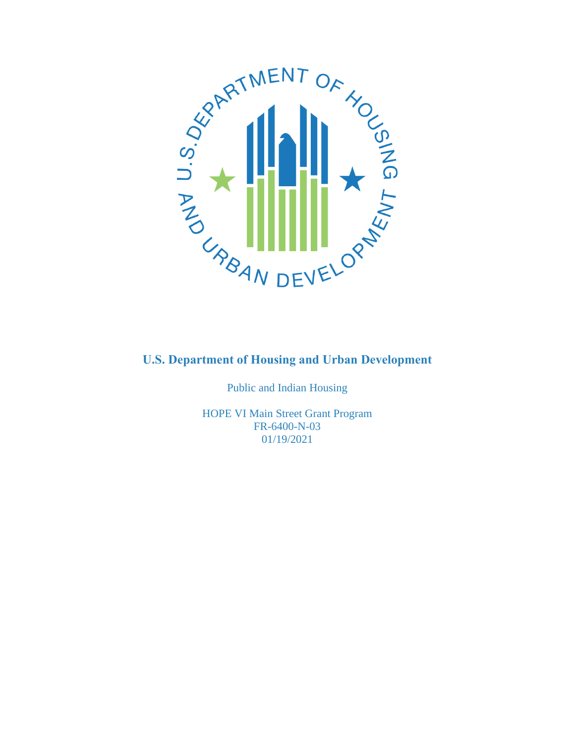

Public and Indian Housing

HOPE VI Main Street Grant Program FR-6400-N-03 01/19/2021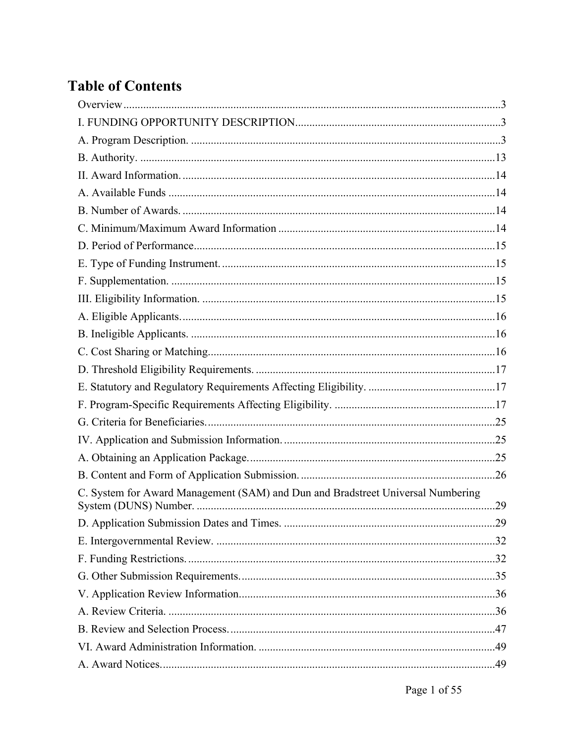# **Table of Contents**

| C. System for Award Management (SAM) and Dun and Bradstreet Universal Numbering | .29 |
|---------------------------------------------------------------------------------|-----|
|                                                                                 |     |
|                                                                                 |     |
|                                                                                 |     |
|                                                                                 |     |
|                                                                                 |     |
|                                                                                 |     |
|                                                                                 |     |
|                                                                                 |     |
|                                                                                 |     |
|                                                                                 |     |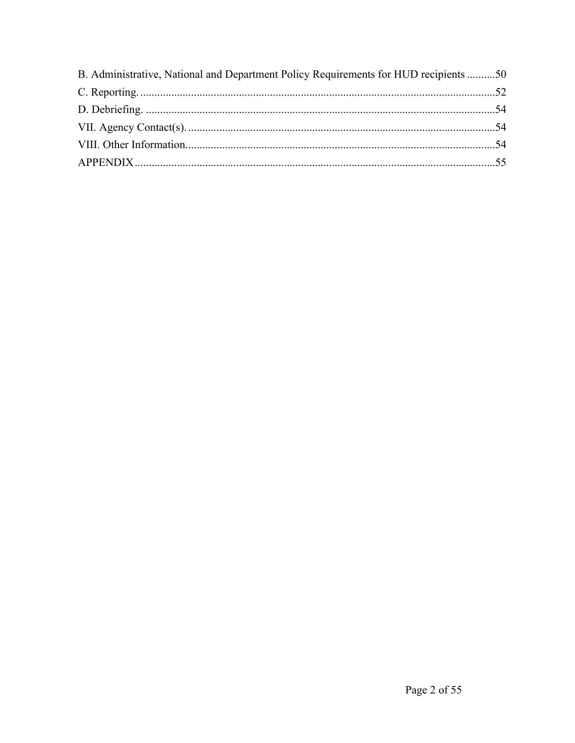| B. Administrative, National and Department Policy Requirements for HUD recipients 50 |  |
|--------------------------------------------------------------------------------------|--|
|                                                                                      |  |
|                                                                                      |  |
|                                                                                      |  |
|                                                                                      |  |
|                                                                                      |  |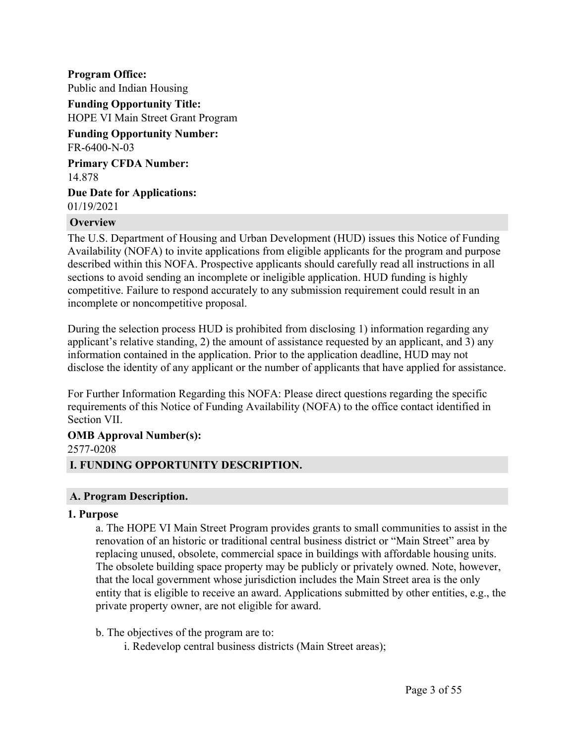**Program Office:** Public and Indian Housing **Funding Opportunity Title:** HOPE VI Main Street Grant Program **Funding Opportunity Number:** FR-6400-N-03 **Primary CFDA Number:** 14.878 **Due Date for Applications:** 01/19/2021

#### <span id="page-3-0"></span>**Overview**

The U.S. Department of Housing and Urban Development (HUD) issues this Notice of Funding Availability (NOFA) to invite applications from eligible applicants for the program and purpose described within this NOFA. Prospective applicants should carefully read all instructions in all sections to avoid sending an incomplete or ineligible application. HUD funding is highly competitive. Failure to respond accurately to any submission requirement could result in an incomplete or noncompetitive proposal.

During the selection process HUD is prohibited from disclosing 1) information regarding any applicant's relative standing, 2) the amount of assistance requested by an applicant, and 3) any information contained in the application. Prior to the application deadline, HUD may not disclose the identity of any applicant or the number of applicants that have applied for assistance.

For Further Information Regarding this NOFA: Please direct questions regarding the specific requirements of this Notice of Funding Availability (NOFA) to the office contact identified in Section VII.

# **OMB Approval Number(s):** 2577-0208

## <span id="page-3-1"></span>**I. FUNDING OPPORTUNITY DESCRIPTION.**

#### <span id="page-3-2"></span>**A. Program Description.**

#### **1. Purpose**

a. The HOPE VI Main Street Program provides grants to small communities to assist in the renovation of an historic or traditional central business district or "Main Street" area by replacing unused, obsolete, commercial space in buildings with affordable housing units. The obsolete building space property may be publicly or privately owned. Note, however, that the local government whose jurisdiction includes the Main Street area is the only entity that is eligible to receive an award. Applications submitted by other entities, e.g., the private property owner, are not eligible for award.

- b. The objectives of the program are to:
	- i. Redevelop central business districts (Main Street areas);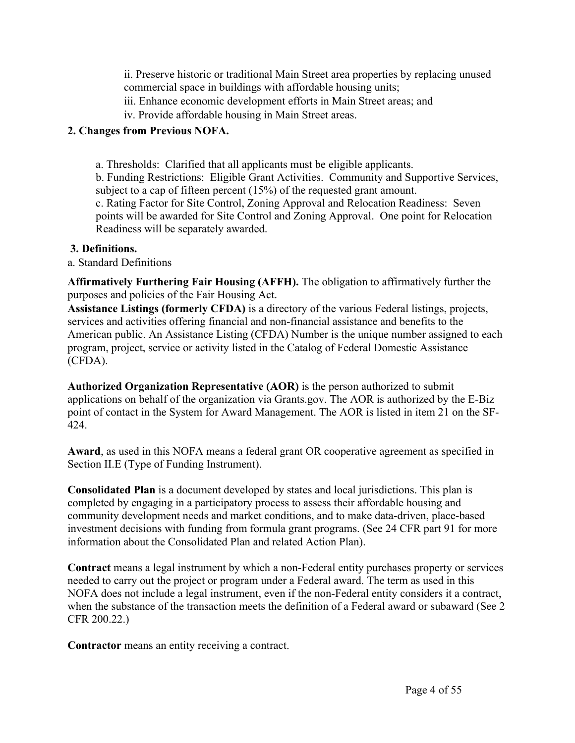ii. Preserve historic or traditional Main Street area properties by replacing unused commercial space in buildings with affordable housing units;

- iii. Enhance economic development efforts in Main Street areas; and
- iv. Provide affordable housing in Main Street areas.

## **2. Changes from Previous NOFA.**

a. Thresholds: Clarified that all applicants must be eligible applicants.

b. Funding Restrictions: Eligible Grant Activities. Community and Supportive Services, subject to a cap of fifteen percent (15%) of the requested grant amount.

c. Rating Factor for Site Control, Zoning Approval and Relocation Readiness: Seven points will be awarded for Site Control and Zoning Approval. One point for Relocation Readiness will be separately awarded.

## **3. Definitions.**

## a. Standard Definitions

**Affirmatively Furthering Fair Housing (AFFH).** The obligation to affirmatively further the purposes and policies of the Fair Housing Act.

**Assistance Listings (formerly CFDA)** is a directory of the various Federal listings, projects, services and activities offering financial and non-financial assistance and benefits to the American public. An Assistance Listing (CFDA) Number is the unique number assigned to each program, project, service or activity listed in the Catalog of Federal Domestic Assistance (CFDA).

**Authorized Organization Representative (AOR)** is the person authorized to submit applications on behalf of the organization via Grants.gov. The AOR is authorized by the E-Biz point of contact in the System for Award Management. The AOR is listed in item 21 on the SF-424.

**Award**, as used in this NOFA means a federal grant OR cooperative agreement as specified in Section II.E (Type of Funding Instrument).

**Consolidated Plan** is a document developed by states and local jurisdictions. This plan is completed by engaging in a participatory process to assess their affordable housing and community development needs and market conditions, and to make data-driven, place-based investment decisions with funding from formula grant programs. (See 24 CFR part 91 for more information about the Consolidated Plan and related Action Plan).

**Contract** means a legal instrument by which a non-Federal entity purchases property or services needed to carry out the project or program under a Federal award. The term as used in this NOFA does not include a legal instrument, even if the non-Federal entity considers it a contract, when the substance of the transaction meets the definition of a Federal award or subaward (See 2 CFR 200.22.)

**Contractor** means an entity receiving a contract.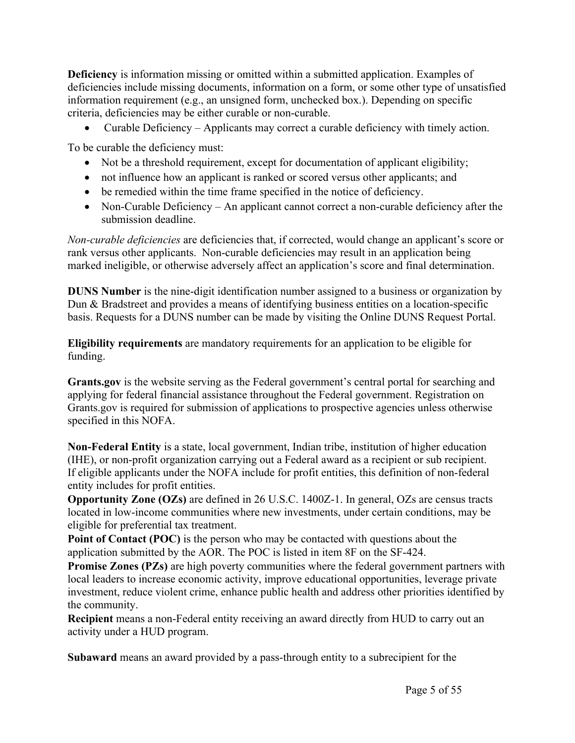**Deficiency** is information missing or omitted within a submitted application. Examples of deficiencies include missing documents, information on a form, or some other type of unsatisfied information requirement (e.g., an unsigned form, unchecked box.). Depending on specific criteria, deficiencies may be either curable or non-curable.

Curable Deficiency – Applicants may correct a curable deficiency with timely action.

To be curable the deficiency must:

- Not be a threshold requirement, except for documentation of applicant eligibility;
- not influence how an applicant is ranked or scored versus other applicants; and
- be remedied within the time frame specified in the notice of deficiency.
- Non-Curable Deficiency An applicant cannot correct a non-curable deficiency after the submission deadline.

*Non-curable deficiencies* are deficiencies that, if corrected, would change an applicant's score or rank versus other applicants. Non-curable deficiencies may result in an application being marked ineligible, or otherwise adversely affect an application's score and final determination.

**DUNS Number** is the nine-digit identification number assigned to a business or organization by Dun & Bradstreet and provides a means of identifying business entities on a location-specific basis. Requests for a DUNS number can be made by visiting the Online DUNS Request Portal.

**Eligibility requirements** are mandatory requirements for an application to be eligible for funding.

**Grants.gov** is the website serving as the Federal government's central portal for searching and applying for federal financial assistance throughout the Federal government. Registration on Grants.gov is required for submission of applications to prospective agencies unless otherwise specified in this NOFA.

**Non-Federal Entity** is a state, local government, Indian tribe, institution of higher education (IHE), or non-profit organization carrying out a Federal award as a recipient or sub recipient. If eligible applicants under the NOFA include for profit entities, this definition of non-federal entity includes for profit entities.

**Opportunity Zone (OZs)** are defined in 26 U.S.C. 1400Z-1. In general, OZs are census tracts located in low-income communities where new investments, under certain conditions, may be eligible for preferential tax treatment.

**Point of Contact (POC)** is the person who may be contacted with questions about the application submitted by the AOR. The POC is listed in item 8F on the SF-424.

**Promise Zones (PZs)** are high poverty communities where the federal government partners with local leaders to increase economic activity, improve educational opportunities, leverage private investment, reduce violent crime, enhance public health and address other priorities identified by the community.

**Recipient** means a non-Federal entity receiving an award directly from HUD to carry out an activity under a HUD program.

**Subaward** means an award provided by a pass-through entity to a subrecipient for the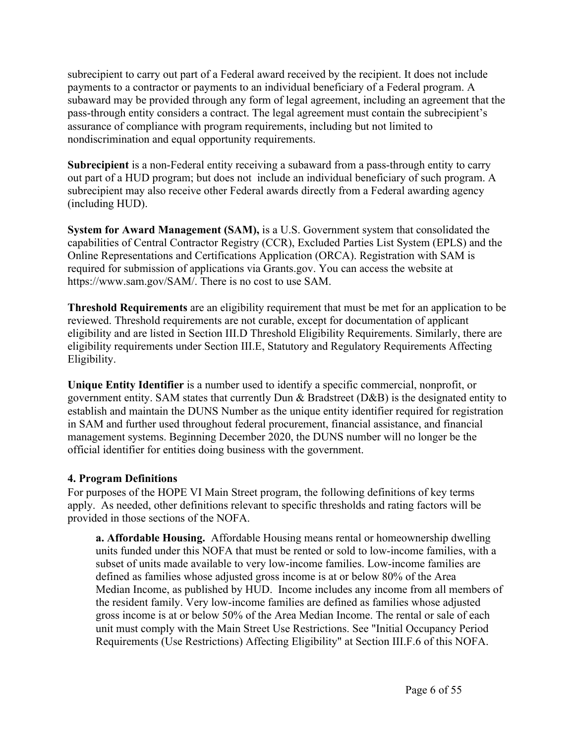subrecipient to carry out part of a Federal award received by the recipient. It does not include payments to a contractor or payments to an individual beneficiary of a Federal program. A subaward may be provided through any form of legal agreement, including an agreement that the pass-through entity considers a contract. The legal agreement must contain the subrecipient's assurance of compliance with program requirements, including but not limited to nondiscrimination and equal opportunity requirements.

**Subrecipient** is a non-Federal entity receiving a subaward from a pass-through entity to carry out part of a HUD program; but does not include an individual beneficiary of such program. A subrecipient may also receive other Federal awards directly from a Federal awarding agency (including HUD).

**System for Award Management (SAM),** is a U.S. Government system that consolidated the capabilities of Central Contractor Registry (CCR), Excluded Parties List System (EPLS) and the Online Representations and Certifications Application (ORCA). Registration with SAM is required for submission of applications via Grants.gov. You can access the website at https://www.sam.gov/SAM/. There is no cost to use SAM.

**Threshold Requirements** are an eligibility requirement that must be met for an application to be reviewed. Threshold requirements are not curable, except for documentation of applicant eligibility and are listed in Section III.D Threshold Eligibility Requirements. Similarly, there are eligibility requirements under Section III.E, Statutory and Regulatory Requirements Affecting Eligibility.

**Unique Entity Identifier** is a number used to identify a specific commercial, nonprofit, or government entity. SAM states that currently Dun & Bradstreet (D&B) is the designated entity to establish and maintain the DUNS Number as the unique entity identifier required for registration in SAM and further used throughout federal procurement, financial assistance, and financial management systems. Beginning December 2020, the DUNS number will no longer be the official identifier for entities doing business with the government.

#### **4. Program Definitions**

For purposes of the HOPE VI Main Street program, the following definitions of key terms apply. As needed, other definitions relevant to specific thresholds and rating factors will be provided in those sections of the NOFA.

**a. Affordable Housing.** Affordable Housing means rental or homeownership dwelling units funded under this NOFA that must be rented or sold to low-income families, with a subset of units made available to very low-income families. Low-income families are defined as families whose adjusted gross income is at or below 80% of the Area Median Income, as published by HUD. Income includes any income from all members of the resident family. Very low-income families are defined as families whose adjusted gross income is at or below 50% of the Area Median Income. The rental or sale of each unit must comply with the Main Street Use Restrictions. See "Initial Occupancy Period Requirements (Use Restrictions) Affecting Eligibility" at Section III.F.6 of this NOFA.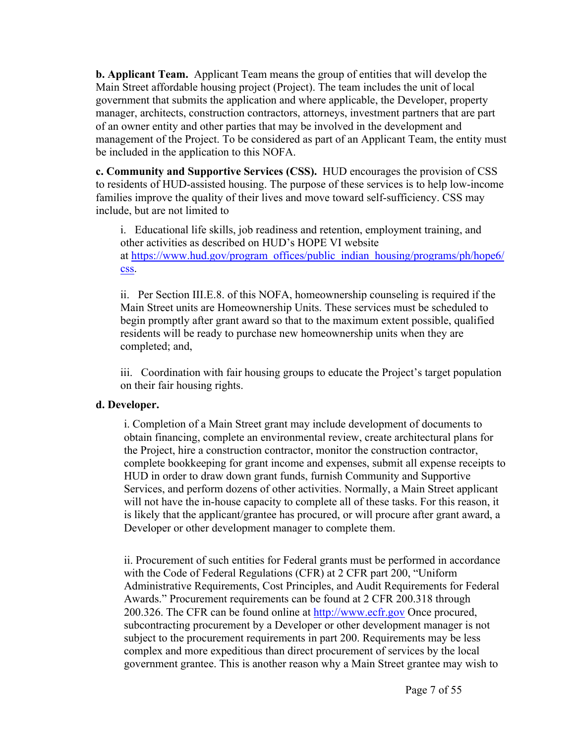**b. Applicant Team.** Applicant Team means the group of entities that will develop the Main Street affordable housing project (Project). The team includes the unit of local government that submits the application and where applicable, the Developer, property manager, architects, construction contractors, attorneys, investment partners that are part of an owner entity and other parties that may be involved in the development and management of the Project. To be considered as part of an Applicant Team, the entity must be included in the application to this NOFA.

**c. Community and Supportive Services (CSS).** HUD encourages the provision of CSS to residents of HUD-assisted housing. The purpose of these services is to help low-income families improve the quality of their lives and move toward self-sufficiency. CSS may include, but are not limited to

i. Educational life skills, job readiness and retention, employment training, and other activities as described on HUD's HOPE VI website at [https://www.hud.gov/program\\_offices/public\\_indian\\_housing/programs/ph/hope6/](https://www.hud.gov/program_offices/public_indian_housing/programs/ph/hope6/css) [css.](https://www.hud.gov/program_offices/public_indian_housing/programs/ph/hope6/css)

ii. Per Section III.E.8. of this NOFA, homeownership counseling is required if the Main Street units are Homeownership Units. These services must be scheduled to begin promptly after grant award so that to the maximum extent possible, qualified residents will be ready to purchase new homeownership units when they are completed; and,

iii. Coordination with fair housing groups to educate the Project's target population on their fair housing rights.

#### **d. Developer.**

i. Completion of a Main Street grant may include development of documents to obtain financing, complete an environmental review, create architectural plans for the Project, hire a construction contractor, monitor the construction contractor, complete bookkeeping for grant income and expenses, submit all expense receipts to HUD in order to draw down grant funds, furnish Community and Supportive Services, and perform dozens of other activities. Normally, a Main Street applicant will not have the in-house capacity to complete all of these tasks. For this reason, it is likely that the applicant/grantee has procured, or will procure after grant award, a Developer or other development manager to complete them.

ii. Procurement of such entities for Federal grants must be performed in accordance with the Code of Federal Regulations (CFR) at 2 CFR part 200, "Uniform Administrative Requirements, Cost Principles, and Audit Requirements for Federal Awards." Procurement requirements can be found at 2 CFR 200.318 through 200.326. The CFR can be found online at <http://www.ecfr.gov> Once procured, subcontracting procurement by a Developer or other development manager is not subject to the procurement requirements in part 200. Requirements may be less complex and more expeditious than direct procurement of services by the local government grantee. This is another reason why a Main Street grantee may wish to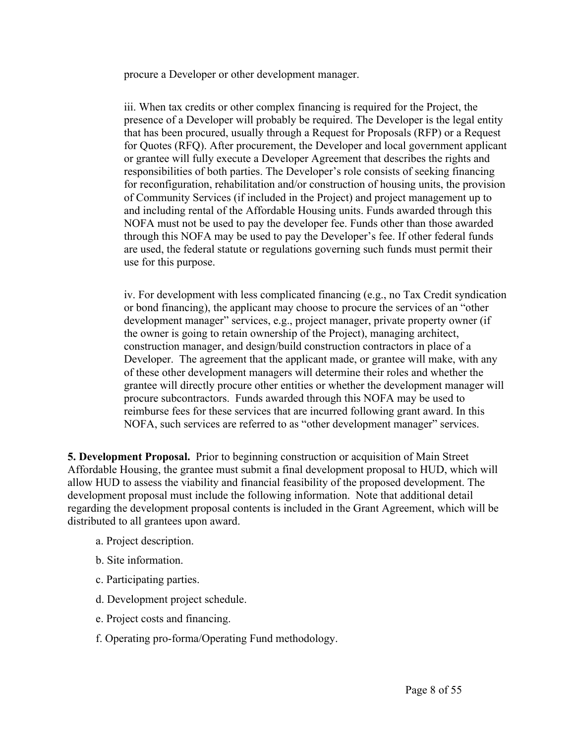procure a Developer or other development manager.

iii. When tax credits or other complex financing is required for the Project, the presence of a Developer will probably be required. The Developer is the legal entity that has been procured, usually through a Request for Proposals (RFP) or a Request for Quotes (RFQ). After procurement, the Developer and local government applicant or grantee will fully execute a Developer Agreement that describes the rights and responsibilities of both parties. The Developer's role consists of seeking financing for reconfiguration, rehabilitation and/or construction of housing units, the provision of Community Services (if included in the Project) and project management up to and including rental of the Affordable Housing units. Funds awarded through this NOFA must not be used to pay the developer fee. Funds other than those awarded through this NOFA may be used to pay the Developer's fee. If other federal funds are used, the federal statute or regulations governing such funds must permit their use for this purpose.

iv. For development with less complicated financing (e.g., no Tax Credit syndication or bond financing), the applicant may choose to procure the services of an "other development manager" services, e.g., project manager, private property owner (if the owner is going to retain ownership of the Project), managing architect, construction manager, and design/build construction contractors in place of a Developer. The agreement that the applicant made, or grantee will make, with any of these other development managers will determine their roles and whether the grantee will directly procure other entities or whether the development manager will procure subcontractors. Funds awarded through this NOFA may be used to reimburse fees for these services that are incurred following grant award. In this NOFA, such services are referred to as "other development manager" services.

**5. Development Proposal.** Prior to beginning construction or acquisition of Main Street Affordable Housing, the grantee must submit a final development proposal to HUD, which will allow HUD to assess the viability and financial feasibility of the proposed development. The development proposal must include the following information. Note that additional detail regarding the development proposal contents is included in the Grant Agreement, which will be distributed to all grantees upon award.

- a. Project description.
- b. Site information.
- c. Participating parties.
- d. Development project schedule.
- e. Project costs and financing.
- f. Operating pro-forma/Operating Fund methodology.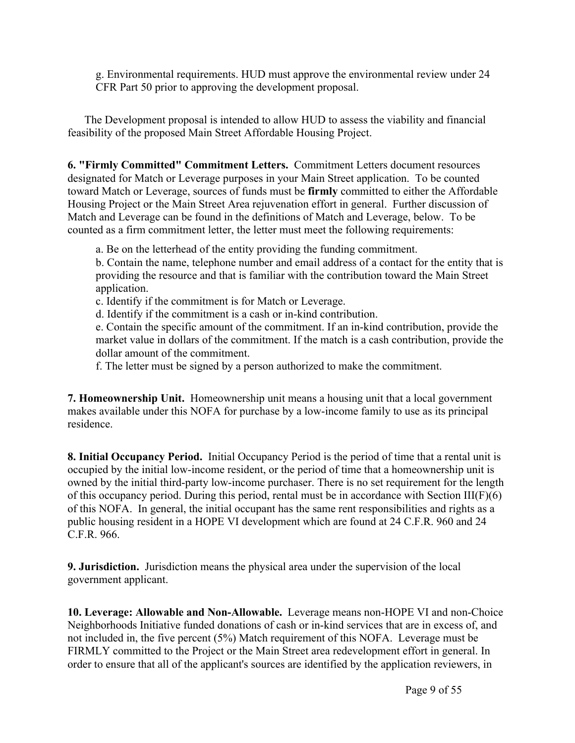g. Environmental requirements. HUD must approve the environmental review under 24 CFR Part 50 prior to approving the development proposal.

The Development proposal is intended to allow HUD to assess the viability and financial feasibility of the proposed Main Street Affordable Housing Project.

**6. "Firmly Committed" Commitment Letters.** Commitment Letters document resources designated for Match or Leverage purposes in your Main Street application. To be counted toward Match or Leverage, sources of funds must be **firmly** committed to either the Affordable Housing Project or the Main Street Area rejuvenation effort in general. Further discussion of Match and Leverage can be found in the definitions of Match and Leverage, below. To be counted as a firm commitment letter, the letter must meet the following requirements:

a. Be on the letterhead of the entity providing the funding commitment.

b. Contain the name, telephone number and email address of a contact for the entity that is providing the resource and that is familiar with the contribution toward the Main Street application.

c. Identify if the commitment is for Match or Leverage.

d. Identify if the commitment is a cash or in-kind contribution.

e. Contain the specific amount of the commitment. If an in-kind contribution, provide the market value in dollars of the commitment. If the match is a cash contribution, provide the dollar amount of the commitment.

f. The letter must be signed by a person authorized to make the commitment.

**7. Homeownership Unit.** Homeownership unit means a housing unit that a local government makes available under this NOFA for purchase by a low-income family to use as its principal residence.

**8. Initial Occupancy Period.** Initial Occupancy Period is the period of time that a rental unit is occupied by the initial low-income resident, or the period of time that a homeownership unit is owned by the initial third-party low-income purchaser. There is no set requirement for the length of this occupancy period. During this period, rental must be in accordance with Section  $III(F)(6)$ of this NOFA. In general, the initial occupant has the same rent responsibilities and rights as a public housing resident in a HOPE VI development which are found at 24 C.F.R. 960 and 24 C.F.R. 966.

**9. Jurisdiction.** Jurisdiction means the physical area under the supervision of the local government applicant.

**10. Leverage: Allowable and Non-Allowable.** Leverage means non-HOPE VI and non-Choice Neighborhoods Initiative funded donations of cash or in-kind services that are in excess of, and not included in, the five percent (5%) Match requirement of this NOFA. Leverage must be FIRMLY committed to the Project or the Main Street area redevelopment effort in general. In order to ensure that all of the applicant's sources are identified by the application reviewers, in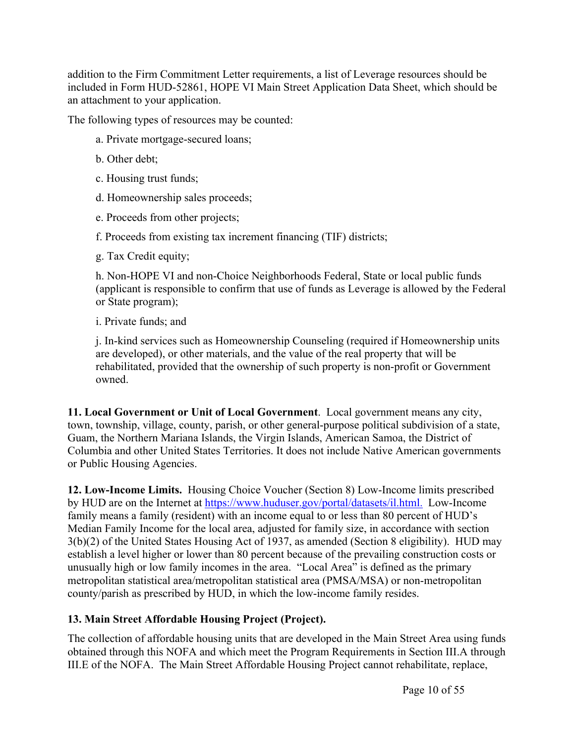addition to the Firm Commitment Letter requirements, a list of Leverage resources should be included in Form HUD-52861, HOPE VI Main Street Application Data Sheet, which should be an attachment to your application.

The following types of resources may be counted:

- a. Private mortgage-secured loans;
- b. Other debt;
- c. Housing trust funds;
- d. Homeownership sales proceeds;
- e. Proceeds from other projects;
- f. Proceeds from existing tax increment financing (TIF) districts;
- g. Tax Credit equity;

h. Non-HOPE VI and non-Choice Neighborhoods Federal, State or local public funds (applicant is responsible to confirm that use of funds as Leverage is allowed by the Federal or State program);

i. Private funds; and

j. In-kind services such as Homeownership Counseling (required if Homeownership units are developed), or other materials, and the value of the real property that will be rehabilitated, provided that the ownership of such property is non-profit or Government owned.

**11. Local Government or Unit of Local Government**. Local government means any city, town, township, village, county, parish, or other general-purpose political subdivision of a state, Guam, the Northern Mariana Islands, the Virgin Islands, American Samoa, the District of Columbia and other United States Territories. It does not include Native American governments or Public Housing Agencies.

**12. Low-Income Limits.** Housing Choice Voucher (Section 8) Low-Income limits prescribed by HUD are on the Internet at <https://www.huduser.gov/portal/datasets/il.html>[.](https://www.huduser.gov/portal/datasets/il.html#2017_data) Low-Income family means a family (resident) with an income equal to or less than 80 percent of HUD's Median Family Income for the local area, adjusted for family size, in accordance with section 3(b)(2) of the United States Housing Act of 1937, as amended (Section 8 eligibility). HUD may establish a level higher or lower than 80 percent because of the prevailing construction costs or unusually high or low family incomes in the area. "Local Area" is defined as the primary metropolitan statistical area/metropolitan statistical area (PMSA/MSA) or non-metropolitan county/parish as prescribed by HUD, in which the low-income family resides.

## **13. Main Street Affordable Housing Project (Project).**

The collection of affordable housing units that are developed in the Main Street Area using funds obtained through this NOFA and which meet the Program Requirements in Section III.A through III.E of the NOFA. The Main Street Affordable Housing Project cannot rehabilitate, replace,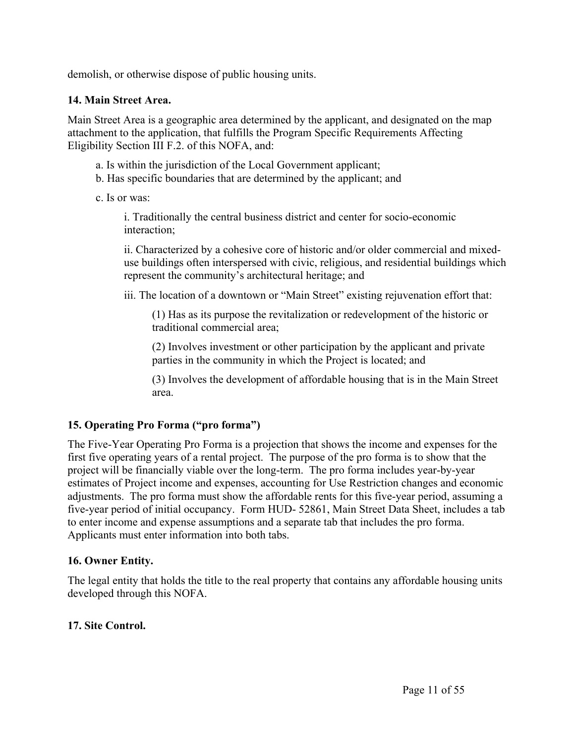demolish, or otherwise dispose of public housing units.

#### **14. Main Street Area.**

Main Street Area is a geographic area determined by the applicant, and designated on the map attachment to the application, that fulfills the Program Specific Requirements Affecting Eligibility Section III F.2. of this NOFA, and:

- a. Is within the jurisdiction of the Local Government applicant;
- b. Has specific boundaries that are determined by the applicant; and
- c. Is or was:

i. Traditionally the central business district and center for socio-economic interaction;

ii. Characterized by a cohesive core of historic and/or older commercial and mixeduse buildings often interspersed with civic, religious, and residential buildings which represent the community's architectural heritage; and

iii. The location of a downtown or "Main Street" existing rejuvenation effort that:

(1) Has as its purpose the revitalization or redevelopment of the historic or traditional commercial area;

(2) Involves investment or other participation by the applicant and private parties in the community in which the Project is located; and

(3) Involves the development of affordable housing that is in the Main Street area.

#### **15. Operating Pro Forma ("pro forma")**

The Five-Year Operating Pro Forma is a projection that shows the income and expenses for the first five operating years of a rental project. The purpose of the pro forma is to show that the project will be financially viable over the long-term. The pro forma includes year-by-year estimates of Project income and expenses, accounting for Use Restriction changes and economic adjustments. The pro forma must show the affordable rents for this five-year period, assuming a five-year period of initial occupancy. Form HUD- 52861, Main Street Data Sheet, includes a tab to enter income and expense assumptions and a separate tab that includes the pro forma. Applicants must enter information into both tabs.

#### **16. Owner Entity.**

The legal entity that holds the title to the real property that contains any affordable housing units developed through this NOFA.

#### **17. Site Control.**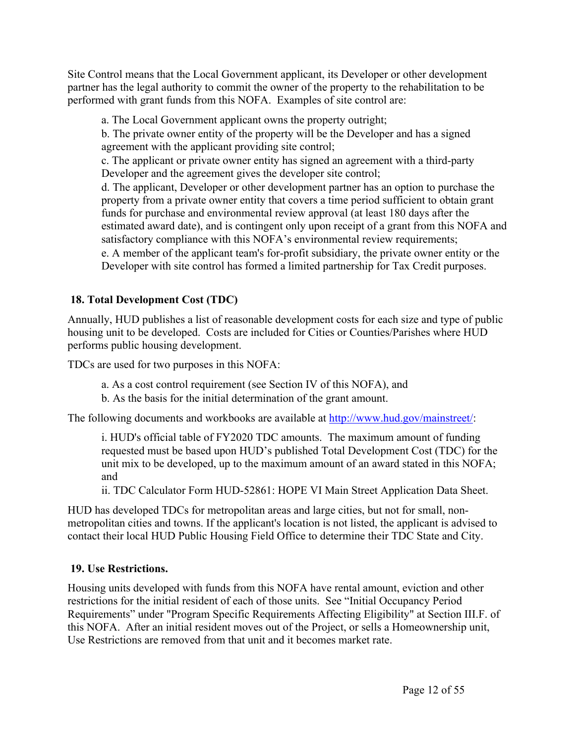Site Control means that the Local Government applicant, its Developer or other development partner has the legal authority to commit the owner of the property to the rehabilitation to be performed with grant funds from this NOFA. Examples of site control are:

a. The Local Government applicant owns the property outright;

b. The private owner entity of the property will be the Developer and has a signed agreement with the applicant providing site control;

c. The applicant or private owner entity has signed an agreement with a third-party Developer and the agreement gives the developer site control;

d. The applicant, Developer or other development partner has an option to purchase the property from a private owner entity that covers a time period sufficient to obtain grant funds for purchase and environmental review approval (at least 180 days after the estimated award date), and is contingent only upon receipt of a grant from this NOFA and satisfactory compliance with this NOFA's environmental review requirements;

e. A member of the applicant team's for-profit subsidiary, the private owner entity or the Developer with site control has formed a limited partnership for Tax Credit purposes.

## **18. Total Development Cost (TDC)**

Annually, HUD publishes a list of reasonable development costs for each size and type of public housing unit to be developed. Costs are included for Cities or Counties/Parishes where HUD performs public housing development.

TDCs are used for two purposes in this NOFA:

- a. As a cost control requirement (see Section IV of this NOFA), and
- b. As the basis for the initial determination of the grant amount.

The following documents and workbooks are available at [http://www.hud.gov/mainstreet/:](http://www.hud.gov/mainstreet/)

i. HUD's official table of FY2020 TDC amounts. The maximum amount of funding requested must be based upon HUD's published Total Development Cost (TDC) for the unit mix to be developed, up to the maximum amount of an award stated in this NOFA; and

ii. TDC Calculator Form HUD-52861: HOPE VI Main Street Application Data Sheet.

HUD has developed TDCs for metropolitan areas and large cities, but not for small, nonmetropolitan cities and towns. If the applicant's location is not listed, the applicant is advised to contact their local HUD Public Housing Field Office to determine their TDC State and City.

## **19. Use Restrictions.**

Housing units developed with funds from this NOFA have rental amount, eviction and other restrictions for the initial resident of each of those units. See "Initial Occupancy Period Requirements" under "Program Specific Requirements Affecting Eligibility" at Section III.F. of this NOFA. After an initial resident moves out of the Project, or sells a Homeownership unit, Use Restrictions are removed from that unit and it becomes market rate.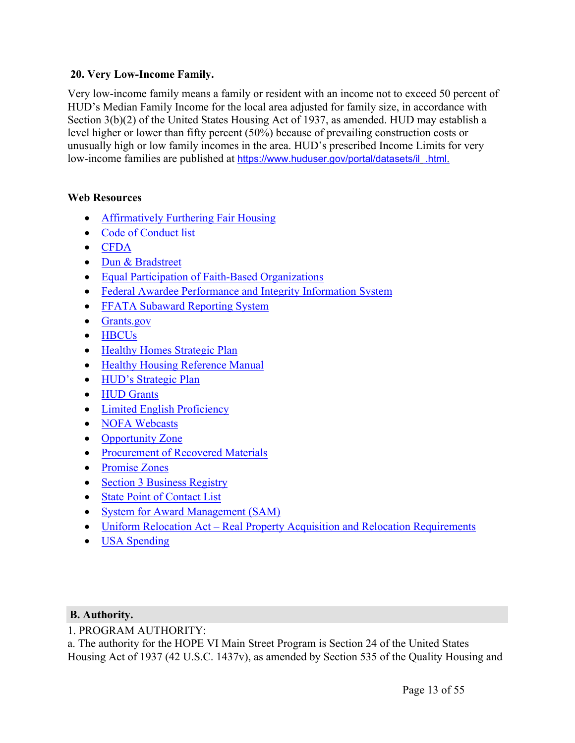#### **20. Very Low-Income Family.**

Very low-income family means a family or resident with an income not to exceed 50 percent of HUD's Median Family Income for the local area adjusted for family size, in accordance with Section 3(b)(2) of the United States Housing Act of 1937, as amended. HUD may establish a level higher or lower than fifty percent (50%) because of prevailing construction costs or unusually high or low family incomes in the area. HUD's prescribed Income Limits for very low-income families are published at [https://www.huduser.gov/portal/datasets/il](https://www.huduser.gov/portal/datasets/il.html) [.html](https://www.huduser.gov/portal/datasets/il.html).

## **Web Resources**

- [Affirmatively](https://www.hudexchange.info/programs/affh/) Furthering Fair Housing
- Code of [Conduct](https://www.hud.gov/program_offices/spm/gmomgmt/grantsinfo/conductgrants) list
- [CFDA](https://beta.sam.gov/)
- Dun & [Bradstreet](http://fedgov.dnb.com/webform)
- Equal Participation of Faith-Based [Organizations](https://www.ecfr.gov/cgi-bin/retrieveECFR?gp=1&SID=d67b2c9e097a45629d959d63e5e4f297&ty=HTML&h=L&mc=true&r=SECTION&n=se24.1.5_1109)
- Federal Awardee [Performance](https://www.fapiis.gov/fapiis/index.action) and Integrity Information System
- FFATA Subaward [Reporting](https://www.fsrs.gov/) System
- [Grants.gov](https://grants.gov/)
- [HBCUs](https://www.hud.gov/programdescription/hbcu)
- Healthy Homes [Strategic](https://www.hud.gov/sites/documents/DOC_13701.PDF) Plan
- Healthy Housing [Reference](https://www.cdc.gov/nceh/publications/books/housing/housing_ref_manual_2012.pdf) Manual
- HUD's [Strategic](https://www.hud.gov/program_offices/spm/strategicplan2014_2018) Plan
- HUD [Grants](https://www.hud.gov/program_offices/spm/gmomgmt/grantsinfo)
- Limited English [Proficiency](https://www.hud.gov/program_offices/fair_housing_equal_opp/limited_english_proficiency_0)
- NOFA [Webcasts](https://portal.hud.gov/hudportal/HUD?src=/press/multimedia)
- [Opportunity](https://www.cdfifund.gov/Pages/Opportunity-Zones.aspx) Zone
- [Procurement](https://www.ecfr.gov/cgi-bin/text-idx?SID=91f378a1992b84880fbe5823086278fc&mc=true&node=pt2.1.200&rgn=div5&se2.1.200_1322) of Recovered Materials
- [Promise](https://www.hud.gov/program_offices/field_policy_mgt/fieldpolicymgtpz) Zones
- Section 3 [Business](https://portalapps.hud.gov/Sec3BusReg/BRegistry/What) Registry
- State Point of [Contact](https://www.whitehouse.gov/wp-content/uploads/2017/11/SPOC-Feb.-2018.pdf) List
- System for Award [Management](https://www.sam.gov/SAM/) (SAM)
- Uniform Relocation Act Real Property Acquisition and Relocation [Requirements](https://www.hudexchange.info/programs/relocation/)
- USA [Spending](https://www.usaspending.gov/Pages/Default.aspx)

#### <span id="page-13-0"></span>**B. Authority.**

1. PROGRAM AUTHORITY:

a. The authority for the HOPE VI Main Street Program is Section 24 of the United States Housing Act of 1937 (42 U.S.C. 1437v), as amended by Section 535 of the Quality Housing and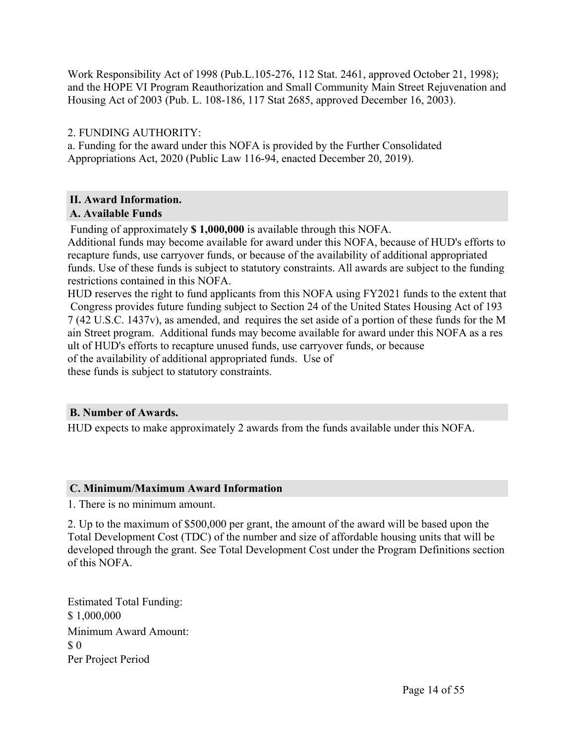Work Responsibility Act of 1998 (Pub.L.105-276, 112 Stat. 2461, approved October 21, 1998); and the HOPE VI Program Reauthorization and Small Community Main Street Rejuvenation and Housing Act of 2003 (Pub. L. 108-186, 117 Stat 2685, approved December 16, 2003).

## 2. FUNDING AUTHORITY:

a. Funding for the award under this NOFA is provided by the Further Consolidated Appropriations Act, 2020 (Public Law 116-94, enacted December 20, 2019).

# <span id="page-14-0"></span>**II. Award Information.**

#### <span id="page-14-1"></span>**A. Available Funds**

Funding of approximately **\$ 1,000,000** is available through this NOFA.

Additional funds may become available for award under this NOFA, because of HUD's efforts to recapture funds, use carryover funds, or because of the availability of additional appropriated funds. Use of these funds is subject to statutory constraints. All awards are subject to the funding restrictions contained in this NOFA.

HUD reserves the right to fund applicants from this NOFA using FY2021 funds to the extent that Congress provides future funding subject to Section 24 of the United States Housing Act of 193 7 (42 U.S.C. 1437v), as amended, and requires the set aside of a portion of these funds for the M ain Street program. Additional funds may become available for award under this NOFA as a res ult of HUD's efforts to recapture unused funds, use carryover funds, or because of the availability of additional appropriated funds. Use of these funds is subject to statutory constraints.

## <span id="page-14-2"></span>**B. Number of Awards.**

HUD expects to make approximately 2 awards from the funds available under this NOFA.

#### <span id="page-14-3"></span>**C. Minimum/Maximum Award Information**

1. There is no minimum amount.

2. Up to the maximum of \$500,000 per grant, the amount of the award will be based upon the Total Development Cost (TDC) of the number and size of affordable housing units that will be developed through the grant. See Total Development Cost under the Program Definitions section of this NOFA.

Estimated Total Funding: \$ 1,000,000 Minimum Award Amount: \$ 0 Per Project Period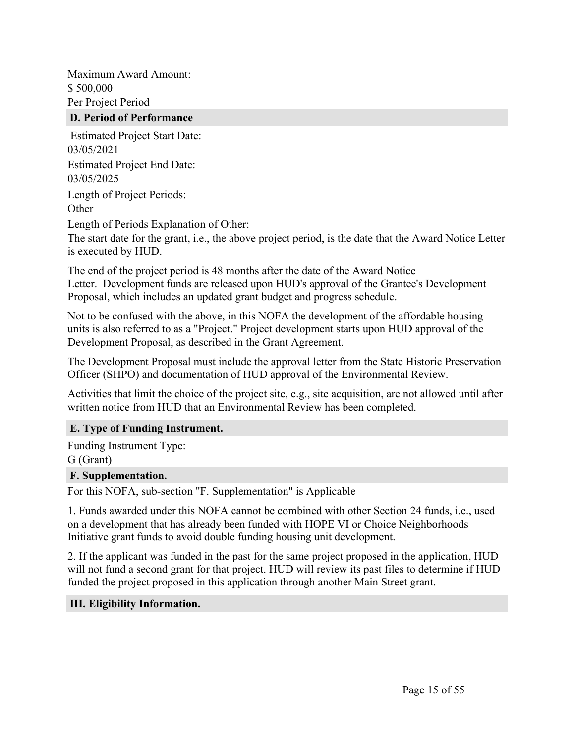Maximum Award Amount: \$ 500,000 Per Project Period

#### <span id="page-15-0"></span>**D. Period of Performance**

Estimated Project Start Date: 03/05/2021 Estimated Project End Date: 03/05/2025 Length of Project Periods: **Other** Length of Periods Explanation of Other:

The start date for the grant, i.e., the above project period, is the date that the Award Notice Letter is executed by HUD.

The end of the project period is 48 months after the date of the Award Notice Letter. Development funds are released upon HUD's approval of the Grantee's Development Proposal, which includes an updated grant budget and progress schedule.

Not to be confused with the above, in this NOFA the development of the affordable housing units is also referred to as a "Project." Project development starts upon HUD approval of the Development Proposal, as described in the Grant Agreement.

The Development Proposal must include the approval letter from the State Historic Preservation Officer (SHPO) and documentation of HUD approval of the Environmental Review.

Activities that limit the choice of the project site, e.g., site acquisition, are not allowed until after written notice from HUD that an Environmental Review has been completed.

#### <span id="page-15-1"></span>**E. Type of Funding Instrument.**

Funding Instrument Type: G (Grant)

#### <span id="page-15-2"></span>**F. Supplementation.**

For this NOFA, sub-section "F. Supplementation" is Applicable

1. Funds awarded under this NOFA cannot be combined with other Section 24 funds, i.e., used on a development that has already been funded with HOPE VI or Choice Neighborhoods Initiative grant funds to avoid double funding housing unit development.

2. If the applicant was funded in the past for the same project proposed in the application, HUD will not fund a second grant for that project. HUD will review its past files to determine if HUD funded the project proposed in this application through another Main Street grant.

#### <span id="page-15-3"></span>**III. Eligibility Information.**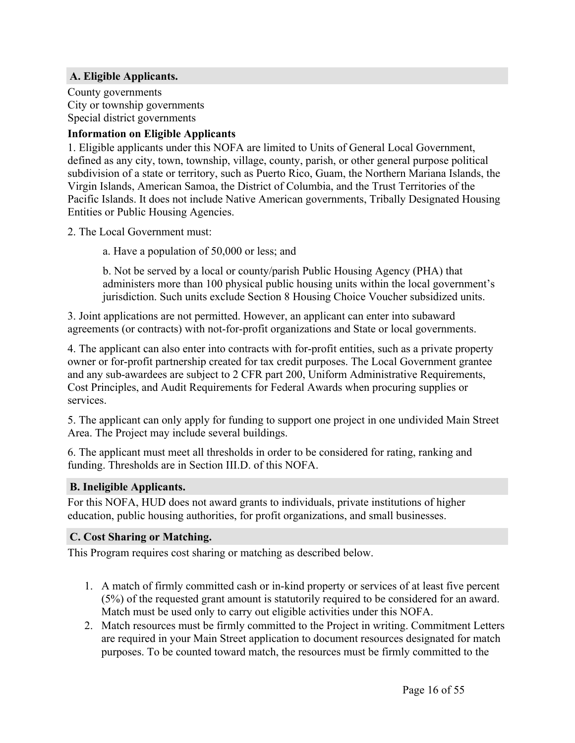#### <span id="page-16-0"></span>**A. Eligible Applicants.**

County governments City or township governments Special district governments

#### **Information on Eligible Applicants**

1. Eligible applicants under this NOFA are limited to Units of General Local Government, defined as any city, town, township, village, county, parish, or other general purpose political subdivision of a state or territory, such as Puerto Rico, Guam, the Northern Mariana Islands, the Virgin Islands, American Samoa, the District of Columbia, and the Trust Territories of the Pacific Islands. It does not include Native American governments, Tribally Designated Housing Entities or Public Housing Agencies.

2. The Local Government must:

a. Have a population of 50,000 or less; and

b. Not be served by a local or county/parish Public Housing Agency (PHA) that administers more than 100 physical public housing units within the local government's jurisdiction. Such units exclude Section 8 Housing Choice Voucher subsidized units.

3. Joint applications are not permitted. However, an applicant can enter into subaward agreements (or contracts) with not-for-profit organizations and State or local governments.

4. The applicant can also enter into contracts with for-profit entities, such as a private property owner or for-profit partnership created for tax credit purposes. The Local Government grantee and any sub-awardees are subject to 2 CFR part 200, Uniform Administrative Requirements, Cost Principles, and Audit Requirements for Federal Awards when procuring supplies or services.

5. The applicant can only apply for funding to support one project in one undivided Main Street Area. The Project may include several buildings.

6. The applicant must meet all thresholds in order to be considered for rating, ranking and funding. Thresholds are in Section III.D. of this NOFA.

#### <span id="page-16-1"></span>**B. Ineligible Applicants.**

For this NOFA, HUD does not award grants to individuals, private institutions of higher education, public housing authorities, for profit organizations, and small businesses.

#### <span id="page-16-2"></span>**C. Cost Sharing or Matching.**

This Program requires cost sharing or matching as described below.

- 1. A match of firmly committed cash or in-kind property or services of at least five percent (5%) of the requested grant amount is statutorily required to be considered for an award. Match must be used only to carry out eligible activities under this NOFA.
- 2. Match resources must be firmly committed to the Project in writing. Commitment Letters are required in your Main Street application to document resources designated for match purposes. To be counted toward match, the resources must be firmly committed to the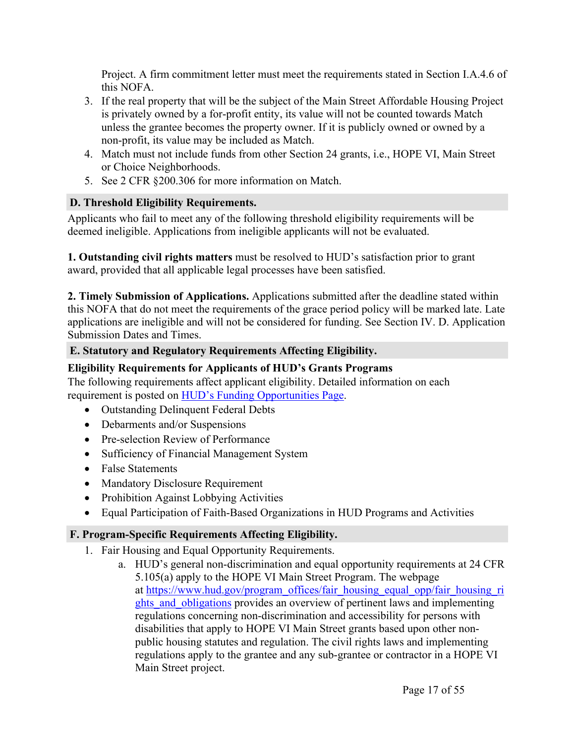Project. A firm commitment letter must meet the requirements stated in Section I.A.4.6 of this NOFA.

- 3. If the real property that will be the subject of the Main Street Affordable Housing Project is privately owned by a for-profit entity, its value will not be counted towards Match unless the grantee becomes the property owner. If it is publicly owned or owned by a non-profit, its value may be included as Match.
- 4. Match must not include funds from other Section 24 grants, i.e., HOPE VI, Main Street or Choice Neighborhoods.
- 5. See 2 CFR §200.306 for more information on Match.

#### <span id="page-17-0"></span>**D. Threshold Eligibility Requirements.**

Applicants who fail to meet any of the following threshold eligibility requirements will be deemed ineligible. Applications from ineligible applicants will not be evaluated.

**1. Outstanding civil rights matters** must be resolved to HUD's satisfaction prior to grant award, provided that all applicable legal processes have been satisfied.

**2. Timely Submission of Applications.** Applications submitted after the deadline stated within this NOFA that do not meet the requirements of the grace period policy will be marked late. Late applications are ineligible and will not be considered for funding. See Section IV. D. Application Submission Dates and Times.

## <span id="page-17-1"></span>**E. Statutory and Regulatory Requirements Affecting Eligibility.**

## **Eligibility Requirements for Applicants of HUD's Grants Programs**

The following requirements affect applicant eligibility. Detailed information on each requirement is posted on HUD's Funding [Opportunities](https://www.hud.gov/program_offices/spm/gmomgmt/grantsinfo/fundingopps) Page.

- Outstanding Delinquent Federal Debts
- Debarments and/or Suspensions
- Pre-selection Review of Performance
- Sufficiency of Financial Management System
- False Statements
- Mandatory Disclosure Requirement
- Prohibition Against Lobbying Activities
- Equal Participation of Faith-Based Organizations in HUD Programs and Activities

## <span id="page-17-2"></span>**F. Program-Specific Requirements Affecting Eligibility.**

- 1. Fair Housing and Equal Opportunity Requirements.
	- a. HUD's general non-discrimination and equal opportunity requirements at 24 CFR 5.105(a) apply to the HOPE VI Main Street Program. The webpage at [https://www.hud.gov/program\\_offices/fair\\_housing\\_equal\\_opp/fair\\_housing\\_ri](https://www.hud.gov/program_offices/fair_housing_equal_opp/fair_housing_rights_and_obligations) ghts and obligations provides an overview of pertinent laws and implementing regulations concerning non-discrimination and accessibility for persons with disabilities that apply to HOPE VI Main Street grants based upon other nonpublic housing statutes and regulation. The civil rights laws and implementing regulations apply to the grantee and any sub-grantee or contractor in a HOPE VI Main Street project.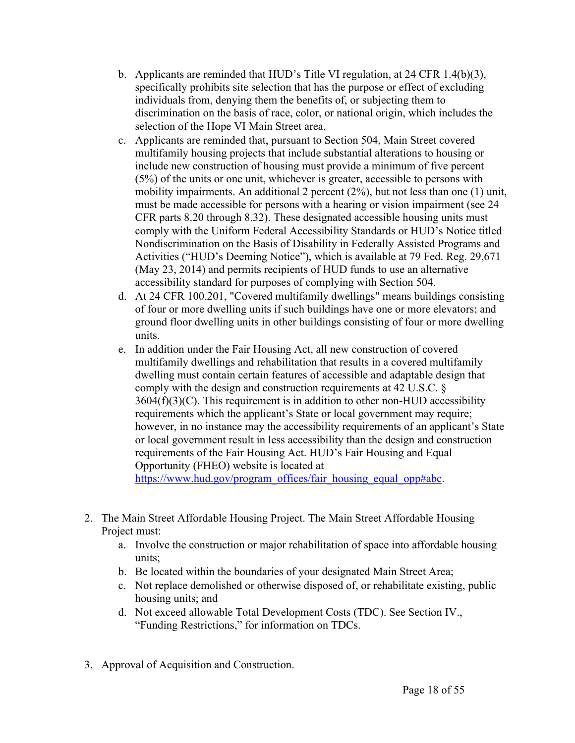- b. Applicants are reminded that HUD's Title VI regulation, at 24 CFR 1.4(b)(3), specifically prohibits site selection that has the purpose or effect of excluding individuals from, denying them the benefits of, or subjecting them to discrimination on the basis of race, color, or national origin, which includes the selection of the Hope VI Main Street area.
- c. Applicants are reminded that, pursuant to Section 504, Main Street covered multifamily housing projects that include substantial alterations to housing or include new construction of housing must provide a minimum of five percent (5%) of the units or one unit, whichever is greater, accessible to persons with mobility impairments. An additional 2 percent (2%), but not less than one (1) unit, must be made accessible for persons with a hearing or vision impairment (see 24 CFR parts 8.20 through 8.32). These designated accessible housing units must comply with the Uniform Federal Accessibility Standards or HUD's Notice titled Nondiscrimination on the Basis of Disability in Federally Assisted Programs and Activities ("HUD's Deeming Notice"), which is available at 79 Fed. Reg. 29,671 (May 23, 2014) and permits recipients of HUD funds to use an alternative accessibility standard for purposes of complying with Section 504.
- d. At 24 CFR 100.201, "Covered multifamily dwellings" means buildings consisting of four or more dwelling units if such buildings have one or more elevators; and ground floor dwelling units in other buildings consisting of four or more dwelling units.
- e. In addition under the Fair Housing Act, all new construction of covered multifamily dwellings and rehabilitation that results in a covered multifamily dwelling must contain certain features of accessible and adaptable design that comply with the design and construction requirements at 42 U.S.C. §  $3604(f)(3)(C)$ . This requirement is in addition to other non-HUD accessibility requirements which the applicant's State or local government may require; however, in no instance may the accessibility requirements of an applicant's State or local government result in less accessibility than the design and construction requirements of the Fair Housing Act. HUD's Fair Housing and Equal Opportunity (FHEO) website is located at

[https://www.hud.gov/program\\_offices/fair\\_housing\\_equal\\_opp#abc.](https://www.hud.gov/program_offices/fair_housing_equal_opp#abc)

- 2. The Main Street Affordable Housing Project. The Main Street Affordable Housing Project must:
	- a. Involve the construction or major rehabilitation of space into affordable housing units;
	- b. Be located within the boundaries of your designated Main Street Area;
	- c. Not replace demolished or otherwise disposed of, or rehabilitate existing, public housing units; and
	- d. Not exceed allowable Total Development Costs (TDC). See Section IV., "Funding Restrictions," for information on TDCs.
- 3. Approval of Acquisition and Construction.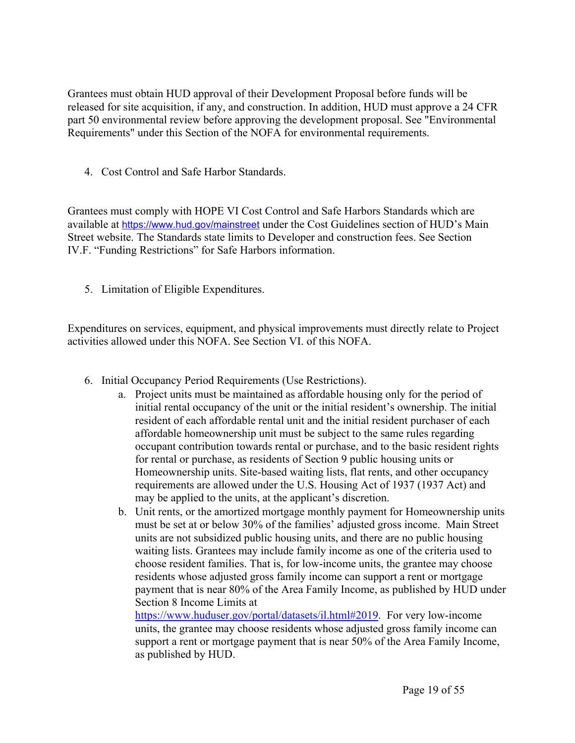Grantees must obtain HUD approval of their Development Proposal before funds will be released for site acquisition, if any, and construction. In addition, HUD must approve a 24 CFR part 50 environmental review before approving the development proposal. See "Environmental Requirements" under this Section of the NOFA for environmental requirements.

4. Cost Control and Safe Harbor Standards.

Grantees must comply with HOPE VI Cost Control and Safe Harbors Standards which are available at <https://www.hud.gov/mainstreet> under the Cost Guidelines section of HUD's Main Street website. The Standards state limits to Developer and construction fees. See Section IV.F. "Funding Restrictions" for Safe Harbors information.

5. Limitation of Eligible Expenditures.

Expenditures on services, equipment, and physical improvements must directly relate to Project activities allowed under this NOFA. See Section VI. of this NOFA.

- 6. Initial Occupancy Period Requirements (Use Restrictions).
	- a. Project units must be maintained as affordable housing only for the period of initial rental occupancy of the unit or the initial resident's ownership. The initial resident of each affordable rental unit and the initial resident purchaser of each affordable homeownership unit must be subject to the same rules regarding occupant contribution towards rental or purchase, and to the basic resident rights for rental or purchase, as residents of Section 9 public housing units or Homeownership units. Site-based waiting lists, flat rents, and other occupancy requirements are allowed under the U.S. Housing Act of 1937 (1937 Act) and may be applied to the units, at the applicant's discretion.
	- b. Unit rents, or the amortized mortgage monthly payment for Homeownership units must be set at or below 30% of the families' adjusted gross income. Main Street units are not subsidized public housing units, and there are no public housing waiting lists. Grantees may include family income as one of the criteria used to choose resident families. That is, for low-income units, the grantee may choose residents whose adjusted gross family income can support a rent or mortgage payment that is near 80% of the Area Family Income, as published by HUD under Section 8 Income Limits at

[https://www.huduser.gov/portal/datasets/il.html#2019.](https://www.huduser.gov/portal/datasets/il.html#2017_data) For very low-income units, the grantee may choose residents whose adjusted gross family income can support a rent or mortgage payment that is near 50% of the Area Family Income, as published by HUD.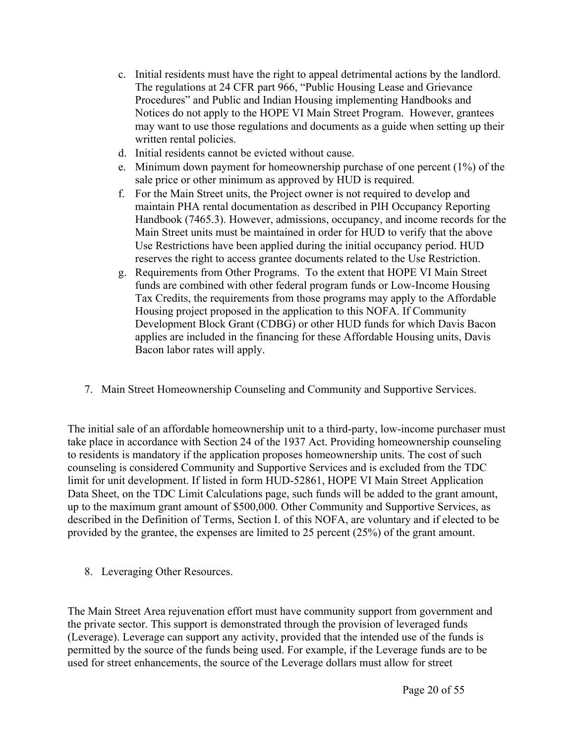- c. Initial residents must have the right to appeal detrimental actions by the landlord. The regulations at 24 CFR part 966, "Public Housing Lease and Grievance Procedures" and Public and Indian Housing implementing Handbooks and Notices do not apply to the HOPE VI Main Street Program. However, grantees may want to use those regulations and documents as a guide when setting up their written rental policies.
- d. Initial residents cannot be evicted without cause.
- e. Minimum down payment for homeownership purchase of one percent (1%) of the sale price or other minimum as approved by HUD is required.
- f. For the Main Street units, the Project owner is not required to develop and maintain PHA rental documentation as described in PIH Occupancy Reporting Handbook (7465.3). However, admissions, occupancy, and income records for the Main Street units must be maintained in order for HUD to verify that the above Use Restrictions have been applied during the initial occupancy period. HUD reserves the right to access grantee documents related to the Use Restriction.
- g. Requirements from Other Programs. To the extent that HOPE VI Main Street funds are combined with other federal program funds or Low-Income Housing Tax Credits, the requirements from those programs may apply to the Affordable Housing project proposed in the application to this NOFA. If Community Development Block Grant (CDBG) or other HUD funds for which Davis Bacon applies are included in the financing for these Affordable Housing units, Davis Bacon labor rates will apply.
- 7. Main Street Homeownership Counseling and Community and Supportive Services.

The initial sale of an affordable homeownership unit to a third-party, low-income purchaser must take place in accordance with Section 24 of the 1937 Act. Providing homeownership counseling to residents is mandatory if the application proposes homeownership units. The cost of such counseling is considered Community and Supportive Services and is excluded from the TDC limit for unit development. If listed in form HUD-52861, HOPE VI Main Street Application Data Sheet, on the TDC Limit Calculations page, such funds will be added to the grant amount, up to the maximum grant amount of \$500,000. Other Community and Supportive Services, as described in the Definition of Terms, Section I. of this NOFA, are voluntary and if elected to be provided by the grantee, the expenses are limited to 25 percent (25%) of the grant amount.

8. Leveraging Other Resources.

The Main Street Area rejuvenation effort must have community support from government and the private sector. This support is demonstrated through the provision of leveraged funds (Leverage). Leverage can support any activity, provided that the intended use of the funds is permitted by the source of the funds being used. For example, if the Leverage funds are to be used for street enhancements, the source of the Leverage dollars must allow for street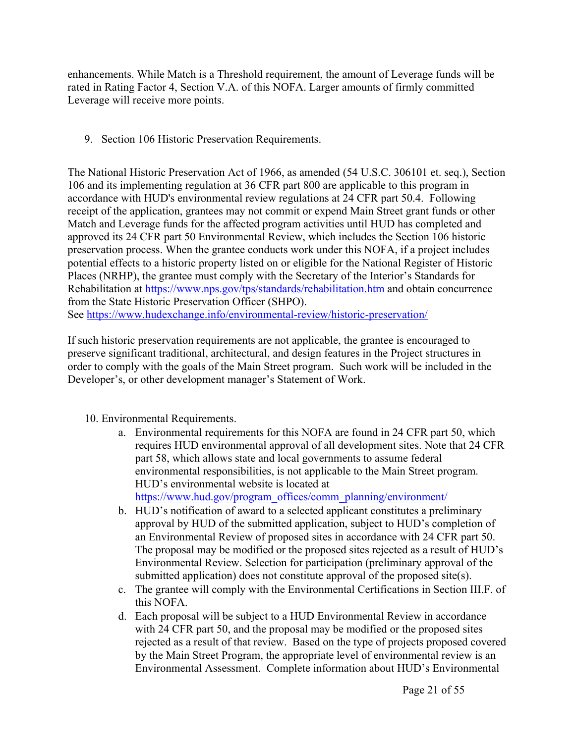enhancements. While Match is a Threshold requirement, the amount of Leverage funds will be rated in Rating Factor 4, Section V.A. of this NOFA. Larger amounts of firmly committed Leverage will receive more points.

9. Section 106 Historic Preservation Requirements.

The National Historic Preservation Act of 1966, as amended (54 U.S.C. 306101 et. seq.), Section 106 and its implementing regulation at 36 CFR part 800 are applicable to this program in accordance with HUD's environmental review regulations at 24 CFR part 50.4. Following receipt of the application, grantees may not commit or expend Main Street grant funds or other Match and Leverage funds for the affected program activities until HUD has completed and approved its 24 CFR part 50 Environmental Review, which includes the Section 106 historic preservation process. When the grantee conducts work under this NOFA, if a project includes potential effects to a historic property listed on or eligible for the National Register of Historic Places (NRHP), the grantee must comply with the Secretary of the Interior's Standards for Rehabilitation at <https://www.nps.gov/tps/standards/rehabilitation.htm> and obtain concurrence from the State Historic Preservation Officer (SHPO). See <https://www.hudexchange.info/environmental-review/historic-preservation/>

If such historic preservation requirements are not applicable, the grantee is encouraged to preserve significant traditional, architectural, and design features in the Project structures in order to comply with the goals of the Main Street program. Such work will be included in the Developer's, or other development manager's Statement of Work.

- 10. Environmental Requirements.
	- a. Environmental requirements for this NOFA are found in 24 CFR part 50, which requires HUD environmental approval of all development sites. Note that 24 CFR part 58, which allows state and local governments to assume federal environmental responsibilities, is not applicable to the Main Street program. HUD's environmental website is located at [https://www.hud.gov/program\\_offices/comm\\_planning/environment/](https://www.hud.gov/program_offices/comm_planning/environment/)
	- b. HUD's notification of award to a selected applicant constitutes a preliminary approval by HUD of the submitted application, subject to HUD's completion of an Environmental Review of proposed sites in accordance with 24 CFR part 50. The proposal may be modified or the proposed sites rejected as a result of HUD's Environmental Review. Selection for participation (preliminary approval of the submitted application) does not constitute approval of the proposed site(s).
	- c. The grantee will comply with the Environmental Certifications in Section III.F. of this NOFA.
	- d. Each proposal will be subject to a HUD Environmental Review in accordance with 24 CFR part 50, and the proposal may be modified or the proposed sites rejected as a result of that review. Based on the type of projects proposed covered by the Main Street Program, the appropriate level of environmental review is an Environmental Assessment. Complete information about HUD's Environmental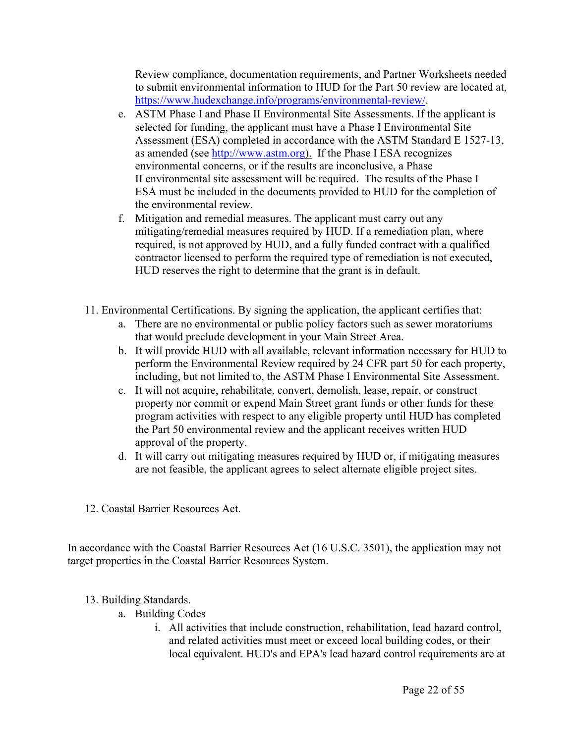Review compliance, documentation requirements, and Partner Worksheets needed to submit environmental information to HUD for the Part 50 review are located at, <https://www.hudexchange.info/programs/environmental-review/>.

- e. ASTM Phase I and Phase II Environmental Site Assessments. If the applicant is selected for funding, the applicant must have a Phase I Environmental Site Assessment (ESA) completed in accordance with the ASTM Standard E 1527-13, as amended (see [http://www.astm.org\)](http://www.astm.org). If the Phase I ESA recognizes environmental concerns, or if the results are inconclusive, a Phase II environmental site assessment will be required. The results of the Phase I ESA must be included in the documents provided to HUD for the completion of the environmental review.
- f. Mitigation and remedial measures. The applicant must carry out any mitigating/remedial measures required by HUD. If a remediation plan, where required, is not approved by HUD, and a fully funded contract with a qualified contractor licensed to perform the required type of remediation is not executed, HUD reserves the right to determine that the grant is in default.
- 11. Environmental Certifications. By signing the application, the applicant certifies that:
	- a. There are no environmental or public policy factors such as sewer moratoriums that would preclude development in your Main Street Area.
	- b. It will provide HUD with all available, relevant information necessary for HUD to perform the Environmental Review required by 24 CFR part 50 for each property, including, but not limited to, the ASTM Phase I Environmental Site Assessment.
	- c. It will not acquire, rehabilitate, convert, demolish, lease, repair, or construct property nor commit or expend Main Street grant funds or other funds for these program activities with respect to any eligible property until HUD has completed the Part 50 environmental review and the applicant receives written HUD approval of the property.
	- d. It will carry out mitigating measures required by HUD or, if mitigating measures are not feasible, the applicant agrees to select alternate eligible project sites.
- 12. Coastal Barrier Resources Act.

In accordance with the Coastal Barrier Resources Act (16 U.S.C. 3501), the application may not target properties in the Coastal Barrier Resources System.

## 13. Building Standards.

- a. Building Codes
	- i. All activities that include construction, rehabilitation, lead hazard control, and related activities must meet or exceed local building codes, or their local equivalent. HUD's and EPA's lead hazard control requirements are at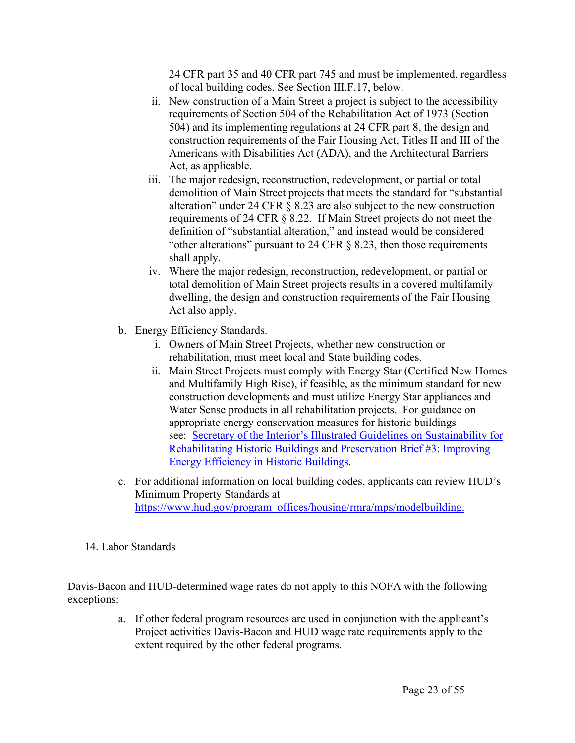24 CFR part 35 and 40 CFR part 745 and must be implemented, regardless of local building codes. See Section III.F.17, below.

- ii. New construction of a Main Street a project is subject to the accessibility requirements of Section 504 of the Rehabilitation Act of 1973 (Section 504) and its implementing regulations at 24 CFR part 8, the design and construction requirements of the Fair Housing Act, Titles II and III of the Americans with Disabilities Act (ADA), and the Architectural Barriers Act, as applicable.
- iii. The major redesign, reconstruction, redevelopment, or partial or total demolition of Main Street projects that meets the standard for "substantial alteration" under 24 CFR § 8.23 are also subject to the new construction requirements of 24 CFR § 8.22. If Main Street projects do not meet the definition of "substantial alteration," and instead would be considered "other alterations" pursuant to 24 CFR § 8.23, then those requirements shall apply.
- iv. Where the major redesign, reconstruction, redevelopment, or partial or total demolition of Main Street projects results in a covered multifamily dwelling, the design and construction requirements of the Fair Housing Act also apply.
- b. Energy Efficiency Standards.
	- i. Owners of Main Street Projects, whether new construction or rehabilitation, must meet local and State building codes.
	- ii. Main Street Projects must comply with Energy Star (Certified New Homes and Multifamily High Rise), if feasible, as the minimum standard for new construction developments and must utilize Energy Star appliances and Water Sense products in all rehabilitation projects. For guidance on appropriate energy conservation measures for historic buildings see: Secretary of the Interior's Illustrated Guidelines on [Sustainability](http://www.nps.gov/tps/standards/rehabilitation/sustainability-guidelines.pdf) for [Rehabilitating](http://www.nps.gov/tps/standards/rehabilitation/sustainability-guidelines.pdf) Historic Buildings and [Preservation](http://www.nps.gov/tps/standards/rehabilitation/sustainability-guidelines.pdf) Brief #3: Improving Energy [Efficiency](http://www.nps.gov/tps/standards/rehabilitation/sustainability-guidelines.pdf) in Historic Buildings.
- c. For additional information on local building codes, applicants can review HUD's Minimum Property Standards at [https://www.hud.gov/program\\_offices/housing/rmra/mps/modelbuilding.](https://www.hud.gov/program_offices/housing/rmra/mps/modelbuilding)
- 14. Labor Standards

Davis-Bacon and HUD-determined wage rates do not apply to this NOFA with the following exceptions:

> a. If other federal program resources are used in conjunction with the applicant's Project activities Davis-Bacon and HUD wage rate requirements apply to the extent required by the other federal programs.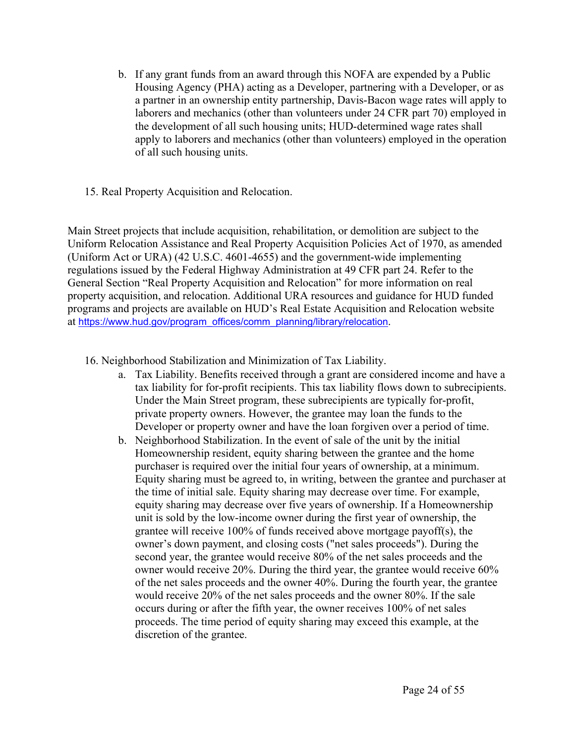- b. If any grant funds from an award through this NOFA are expended by a Public Housing Agency (PHA) acting as a Developer, partnering with a Developer, or as a partner in an ownership entity partnership, Davis-Bacon wage rates will apply to laborers and mechanics (other than volunteers under 24 CFR part 70) employed in the development of all such housing units; HUD-determined wage rates shall apply to laborers and mechanics (other than volunteers) employed in the operation of all such housing units.
- 15. Real Property Acquisition and Relocation.

Main Street projects that include acquisition, rehabilitation, or demolition are subject to the Uniform Relocation Assistance and Real Property Acquisition Policies Act of 1970, as amended (Uniform Act or URA) (42 U.S.C. 4601-4655) and the government-wide implementing regulations issued by the Federal Highway Administration at 49 CFR part 24. Refer to the General Section "Real Property Acquisition and Relocation" for more information on real property acquisition, and relocation. Additional URA resources and guidance for HUD funded programs and projects are available on HUD's Real Estate Acquisition and Relocation website at [https://www.hud.gov/program\\_offices/comm\\_planning/library/relocation](https://www.hud.gov/program_offices/comm_planning/library/relocation).

- 16. Neighborhood Stabilization and Minimization of Tax Liability.
	- a. Tax Liability. Benefits received through a grant are considered income and have a tax liability for for-profit recipients. This tax liability flows down to subrecipients. Under the Main Street program, these subrecipients are typically for-profit, private property owners. However, the grantee may loan the funds to the Developer or property owner and have the loan forgiven over a period of time.
	- b. Neighborhood Stabilization. In the event of sale of the unit by the initial Homeownership resident, equity sharing between the grantee and the home purchaser is required over the initial four years of ownership, at a minimum. Equity sharing must be agreed to, in writing, between the grantee and purchaser at the time of initial sale. Equity sharing may decrease over time. For example, equity sharing may decrease over five years of ownership. If a Homeownership unit is sold by the low-income owner during the first year of ownership, the grantee will receive 100% of funds received above mortgage payoff(s), the owner's down payment, and closing costs ("net sales proceeds"). During the second year, the grantee would receive 80% of the net sales proceeds and the owner would receive 20%. During the third year, the grantee would receive 60% of the net sales proceeds and the owner 40%. During the fourth year, the grantee would receive 20% of the net sales proceeds and the owner 80%. If the sale occurs during or after the fifth year, the owner receives 100% of net sales proceeds. The time period of equity sharing may exceed this example, at the discretion of the grantee.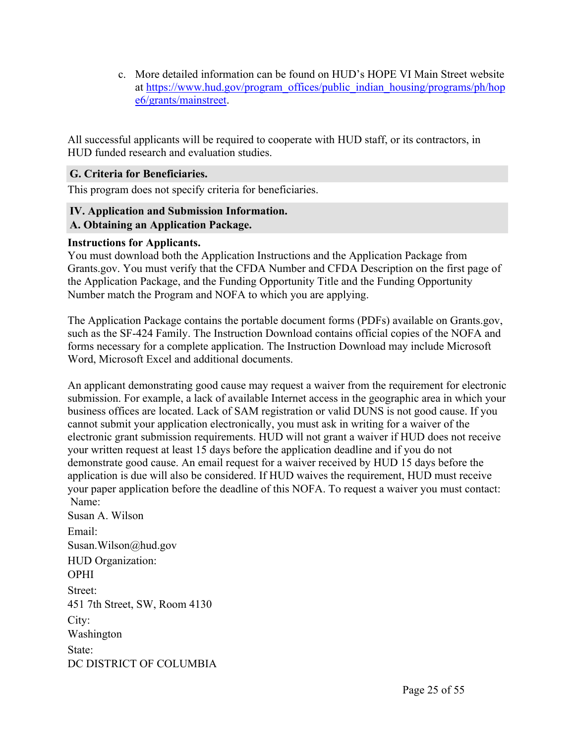c. More detailed information can be found on HUD's HOPE VI Main Street website at [https://www.hud.gov/program\\_offices/public\\_indian\\_housing/programs/ph/hop](https://www.hud.gov/program_offices/public_indian_housing/programs/ph/hope6/grants/mainstreet) [e6/grants/mainstreet](https://www.hud.gov/program_offices/public_indian_housing/programs/ph/hope6/grants/mainstreet).

All successful applicants will be required to cooperate with HUD staff, or its contractors, in HUD funded research and evaluation studies.

#### <span id="page-25-0"></span>**G. Criteria for Beneficiaries.**

This program does not specify criteria for beneficiaries.

#### <span id="page-25-2"></span><span id="page-25-1"></span>**IV. Application and Submission Information. A. Obtaining an Application Package.**

## **Instructions for Applicants.**

You must download both the Application Instructions and the Application Package from Grants.gov. You must verify that the CFDA Number and CFDA Description on the first page of the Application Package, and the Funding Opportunity Title and the Funding Opportunity Number match the Program and NOFA to which you are applying.

The Application Package contains the portable document forms (PDFs) available on Grants.gov, such as the SF-424 Family. The Instruction Download contains official copies of the NOFA and forms necessary for a complete application. The Instruction Download may include Microsoft Word, Microsoft Excel and additional documents.

An applicant demonstrating good cause may request a waiver from the requirement for electronic submission. For example, a lack of available Internet access in the geographic area in which your business offices are located. Lack of SAM registration or valid DUNS is not good cause. If you cannot submit your application electronically, you must ask in writing for a waiver of the electronic grant submission requirements. HUD will not grant a waiver if HUD does not receive your written request at least 15 days before the application deadline and if you do not demonstrate good cause. An email request for a waiver received by HUD 15 days before the application is due will also be considered. If HUD waives the requirement, HUD must receive your paper application before the deadline of this NOFA. To request a waiver you must contact: Name:

Susan A. Wilson Email: Susan.Wilson@hud.gov HUD Organization: OPHI Street: 451 7th Street, SW, Room 4130 City: Washington State: DC DISTRICT OF COLUMBIA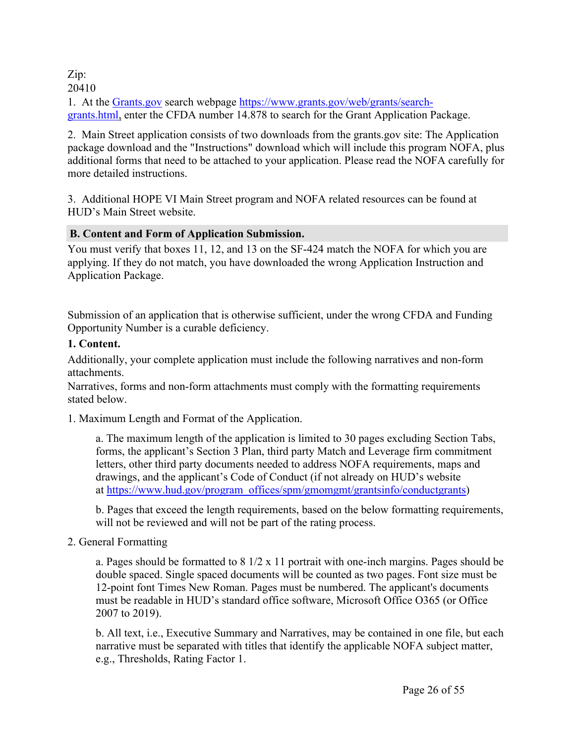# Zip:

20410

1. At the [Grants.gov](http://www.grants.gov/) search webpage [https://www.grants.gov/web/grants/search](https://www.grants.gov/web/grants/search-grants.html)[grants.html](https://www.grants.gov/web/grants/search-grants.html), enter the CFDA number 14.878 to search for the Grant Application Package.

2. Main Street application consists of two downloads from the grants.gov site: The Application package download and the "Instructions" download which will include this program NOFA, plus additional forms that need to be attached to your application. Please read the NOFA carefully for more detailed instructions.

3. Additional HOPE VI Main Street program and NOFA related resources can be found at HUD's Main Street website.

## <span id="page-26-0"></span>**B. Content and Form of Application Submission.**

You must verify that boxes 11, 12, and 13 on the SF-424 match the NOFA for which you are applying. If they do not match, you have downloaded the wrong Application Instruction and Application Package.

Submission of an application that is otherwise sufficient, under the wrong CFDA and Funding Opportunity Number is a curable deficiency.

## **1. Content.**

Additionally, your complete application must include the following narratives and non-form attachments.

Narratives, forms and non-form attachments must comply with the formatting requirements stated below.

1. Maximum Length and Format of the Application.

a. The maximum length of the application is limited to 30 pages excluding Section Tabs, forms, the applicant's Section 3 Plan, third party Match and Leverage firm commitment letters, other third party documents needed to address NOFA requirements, maps and drawings, and the applicant's Code of Conduct (if not already on HUD's website at [https://www.hud.gov/program\\_offices/spm/gmomgmt/grantsinfo/conductgrants](https://www.hud.gov/program_offices/spm/gmomgmt/grantsinfo/conductgrants))

b. Pages that exceed the length requirements, based on the below formatting requirements, will not be reviewed and will not be part of the rating process.

2. General Formatting

a. Pages should be formatted to 8 1/2 x 11 portrait with one-inch margins. Pages should be double spaced. Single spaced documents will be counted as two pages. Font size must be 12-point font Times New Roman. Pages must be numbered. The applicant's documents must be readable in HUD's standard office software, Microsoft Office O365 (or Office 2007 to 2019).

b. All text, i.e., Executive Summary and Narratives, may be contained in one file, but each narrative must be separated with titles that identify the applicable NOFA subject matter, e.g., Thresholds, Rating Factor 1.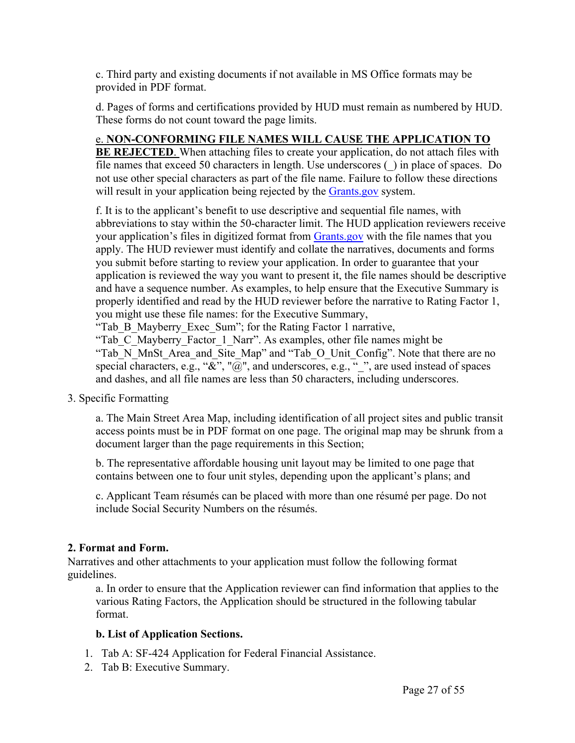c. Third party and existing documents if not available in MS Office formats may be provided in PDF format.

d. Pages of forms and certifications provided by HUD must remain as numbered by HUD. These forms do not count toward the page limits.

## e. **NON-CONFORMING FILE NAMES WILL CAUSE THE APPLICATION TO**

**BE REJECTED**. When attaching files to create your application, do not attach files with file names that exceed 50 characters in length. Use underscores (\_) in place of spaces. Do not use other special characters as part of the file name. Failure to follow these directions will result in your application being rejected by the [Grants.gov](https://www.grants.gov) system.

f. It is to the applicant's benefit to use descriptive and sequential file names, with abbreviations to stay within the 50-character limit. The HUD application reviewers receive your application's files in digitized format from [Grants.gov](https://www.grants.gov) with the file names that you apply. The HUD reviewer must identify and collate the narratives, documents and forms you submit before starting to review your application. In order to guarantee that your application is reviewed the way you want to present it, the file names should be descriptive and have a sequence number. As examples, to help ensure that the Executive Summary is properly identified and read by the HUD reviewer before the narrative to Rating Factor 1, you might use these file names: for the Executive Summary,

"Tab\_B\_Mayberry\_Exec\_Sum"; for the Rating Factor 1 narrative,

"Tab\_C\_Mayberry\_Factor\_1\_Narr". As examples, other file names might be "Tab\_N\_MnSt\_Area\_and\_Site\_Map" and "Tab\_O\_Unit\_Config". Note that there are no special characters, e.g., " $\alpha$ ", " $\overline{\omega}$ ", and underscores, e.g., " ", are used instead of spaces and dashes, and all file names are less than 50 characters, including underscores.

3. Specific Formatting

a. The Main Street Area Map, including identification of all project sites and public transit access points must be in PDF format on one page. The original map may be shrunk from a document larger than the page requirements in this Section;

b. The representative affordable housing unit layout may be limited to one page that contains between one to four unit styles, depending upon the applicant's plans; and

c. Applicant Team résumés can be placed with more than one résumé per page. Do not include Social Security Numbers on the résumés.

## **2. Format and Form.**

Narratives and other attachments to your application must follow the following format guidelines.

a. In order to ensure that the Application reviewer can find information that applies to the various Rating Factors, the Application should be structured in the following tabular format.

## **b. List of Application Sections.**

- 1. Tab A: SF-424 Application for Federal Financial Assistance.
- 2. Tab B: Executive Summary.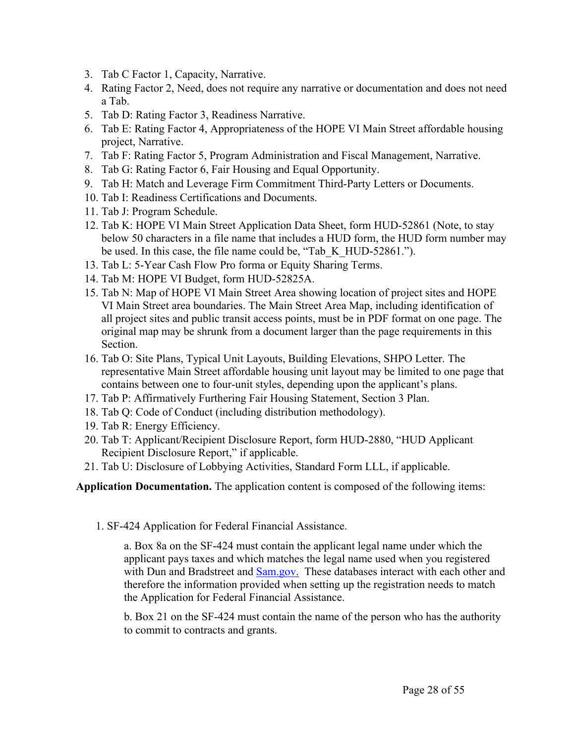- 3. Tab C Factor 1, Capacity, Narrative.
- 4. Rating Factor 2, Need, does not require any narrative or documentation and does not need a Tab.
- 5. Tab D: Rating Factor 3, Readiness Narrative.
- 6. Tab E: Rating Factor 4, Appropriateness of the HOPE VI Main Street affordable housing project, Narrative.
- 7. Tab F: Rating Factor 5, Program Administration and Fiscal Management, Narrative.
- 8. Tab G: Rating Factor 6, Fair Housing and Equal Opportunity.
- 9. Tab H: Match and Leverage Firm Commitment Third-Party Letters or Documents.
- 10. Tab I: Readiness Certifications and Documents.
- 11. Tab J: Program Schedule.
- 12. Tab K: HOPE VI Main Street Application Data Sheet, form HUD-52861 (Note, to stay below 50 characters in a file name that includes a HUD form, the HUD form number may be used. In this case, the file name could be, "Tab K HUD-52861.").
- 13. Tab L: 5-Year Cash Flow Pro forma or Equity Sharing Terms.
- 14. Tab M: HOPE VI Budget, form HUD-52825A.
- 15. Tab N: Map of HOPE VI Main Street Area showing location of project sites and HOPE VI Main Street area boundaries. The Main Street Area Map, including identification of all project sites and public transit access points, must be in PDF format on one page. The original map may be shrunk from a document larger than the page requirements in this Section.
- 16. Tab O: Site Plans, Typical Unit Layouts, Building Elevations, SHPO Letter. The representative Main Street affordable housing unit layout may be limited to one page that contains between one to four-unit styles, depending upon the applicant's plans.
- 17. Tab P: Affirmatively Furthering Fair Housing Statement, Section 3 Plan.
- 18. Tab Q: Code of Conduct (including distribution methodology).
- 19. Tab R: Energy Efficiency.
- 20. Tab T: Applicant/Recipient Disclosure Report, form HUD-2880, "HUD Applicant Recipient Disclosure Report," if applicable.
- 21. Tab U: Disclosure of Lobbying Activities, Standard Form LLL, if applicable.

**Application Documentation.** The application content is composed of the following items:

1. SF-424 Application for Federal Financial Assistance.

a. Box 8a on the SF-424 must contain the applicant legal name under which the applicant pays taxes and which matches the legal name used when you registered with Dun and Bradstreet and [Sam.gov](http://www.Sam.gov). These databases interact with each other and therefore the information provided when setting up the registration needs to match the Application for Federal Financial Assistance.

b. Box 21 on the SF-424 must contain the name of the person who has the authority to commit to contracts and grants.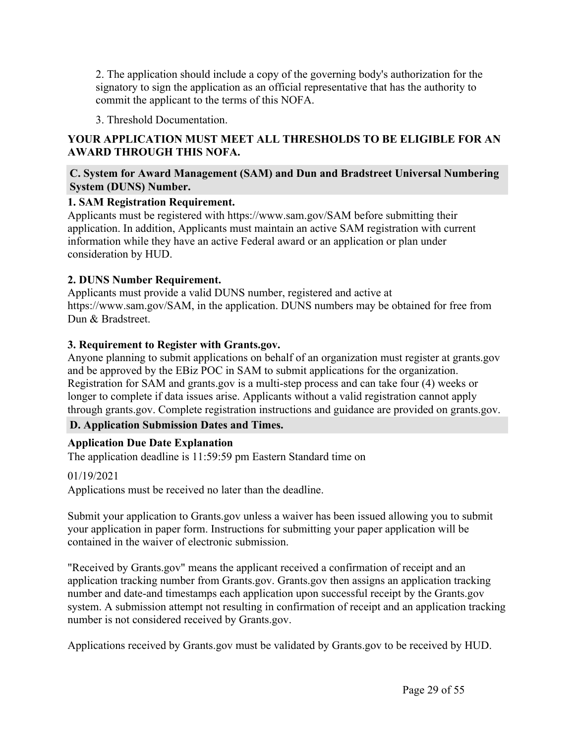2. The application should include a copy of the governing body's authorization for the signatory to sign the application as an official representative that has the authority to commit the applicant to the terms of this NOFA.

3. Threshold Documentation.

## **YOUR APPLICATION MUST MEET ALL THRESHOLDS TO BE ELIGIBLE FOR AN AWARD THROUGH THIS NOFA.**

## <span id="page-29-0"></span>**C. System for Award Management (SAM) and Dun and Bradstreet Universal Numbering System (DUNS) Number.**

## **1. SAM Registration Requirement.**

Applicants must be registered with https://www.sam.gov/SAM before submitting their application. In addition, Applicants must maintain an active SAM registration with current information while they have an active Federal award or an application or plan under consideration by HUD.

## **2. DUNS Number Requirement.**

Applicants must provide a valid DUNS number, registered and active at https://www.sam.gov/SAM, in the application. DUNS numbers may be obtained for free from Dun & Bradstreet.

## **3. Requirement to Register with Grants.gov.**

Anyone planning to submit applications on behalf of an organization must register at grants.gov and be approved by the EBiz POC in SAM to submit applications for the organization. Registration for SAM and grants.gov is a multi-step process and can take four (4) weeks or longer to complete if data issues arise. Applicants without a valid registration cannot apply through grants.gov. Complete registration instructions and guidance are provided on grants.gov.

## <span id="page-29-1"></span>**D. Application Submission Dates and Times.**

## **Application Due Date Explanation**

The application deadline is 11:59:59 pm Eastern Standard time on

## 01/19/2021

Applications must be received no later than the deadline.

Submit your application to Grants.gov unless a waiver has been issued allowing you to submit your application in paper form. Instructions for submitting your paper application will be contained in the waiver of electronic submission.

"Received by Grants.gov" means the applicant received a confirmation of receipt and an application tracking number from Grants.gov. Grants.gov then assigns an application tracking number and date-and timestamps each application upon successful receipt by the Grants.gov system. A submission attempt not resulting in confirmation of receipt and an application tracking number is not considered received by Grants.gov.

Applications received by Grants.gov must be validated by Grants.gov to be received by HUD.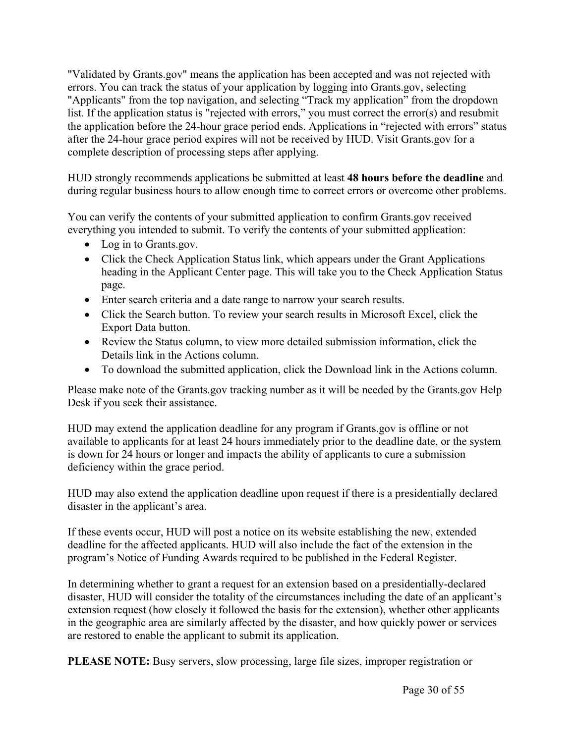"Validated by Grants.gov" means the application has been accepted and was not rejected with errors. You can track the status of your application by logging into Grants.gov, selecting "Applicants" from the top navigation, and selecting "Track my application" from the dropdown list. If the application status is "rejected with errors," you must correct the error(s) and resubmit the application before the 24-hour grace period ends. Applications in "rejected with errors" status after the 24-hour grace period expires will not be received by HUD. Visit Grants.gov for a complete description of processing steps after applying.

HUD strongly recommends applications be submitted at least **48 hours before the deadline** and during regular business hours to allow enough time to correct errors or overcome other problems.

You can verify the contents of your submitted application to confirm Grants.gov received everything you intended to submit. To verify the contents of your submitted application:

- Log in to Grants.gov.
- Click the Check Application Status link, which appears under the Grant Applications heading in the Applicant Center page. This will take you to the Check Application Status page.
- Enter search criteria and a date range to narrow your search results.
- Click the Search button. To review your search results in Microsoft Excel, click the Export Data button.
- Review the Status column, to view more detailed submission information, click the Details link in the Actions column.
- To download the submitted application, click the Download link in the Actions column.

Please make note of the Grants.gov tracking number as it will be needed by the Grants.gov Help Desk if you seek their assistance.

HUD may extend the application deadline for any program if Grants.gov is offline or not available to applicants for at least 24 hours immediately prior to the deadline date, or the system is down for 24 hours or longer and impacts the ability of applicants to cure a submission deficiency within the grace period.

HUD may also extend the application deadline upon request if there is a presidentially declared disaster in the applicant's area.

If these events occur, HUD will post a notice on its website establishing the new, extended deadline for the affected applicants. HUD will also include the fact of the extension in the program's Notice of Funding Awards required to be published in the Federal Register.

In determining whether to grant a request for an extension based on a presidentially-declared disaster, HUD will consider the totality of the circumstances including the date of an applicant's extension request (how closely it followed the basis for the extension), whether other applicants in the geographic area are similarly affected by the disaster, and how quickly power or services are restored to enable the applicant to submit its application.

**PLEASE NOTE:** Busy servers, slow processing, large file sizes, improper registration or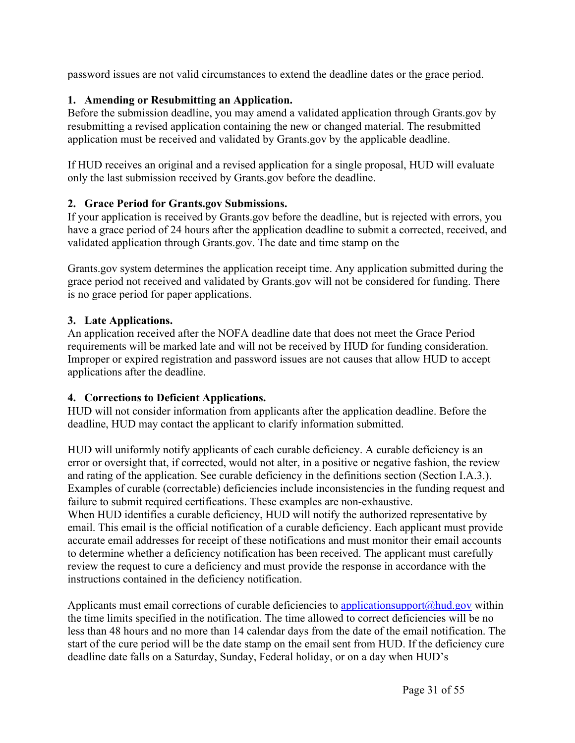password issues are not valid circumstances to extend the deadline dates or the grace period.

## **1. Amending or Resubmitting an Application.**

Before the submission deadline, you may amend a validated application through Grants.gov by resubmitting a revised application containing the new or changed material. The resubmitted application must be received and validated by Grants.gov by the applicable deadline.

If HUD receives an original and a revised application for a single proposal, HUD will evaluate only the last submission received by Grants.gov before the deadline.

## **2. Grace Period for Grants.gov Submissions.**

If your application is received by Grants.gov before the deadline, but is rejected with errors, you have a grace period of 24 hours after the application deadline to submit a corrected, received, and validated application through Grants.gov. The date and time stamp on the

Grants.gov system determines the application receipt time. Any application submitted during the grace period not received and validated by Grants.gov will not be considered for funding. There is no grace period for paper applications.

## **3. Late Applications.**

An application received after the NOFA deadline date that does not meet the Grace Period requirements will be marked late and will not be received by HUD for funding consideration. Improper or expired registration and password issues are not causes that allow HUD to accept applications after the deadline.

## **4. Corrections to Deficient Applications.**

HUD will not consider information from applicants after the application deadline. Before the deadline, HUD may contact the applicant to clarify information submitted.

HUD will uniformly notify applicants of each curable deficiency. A curable deficiency is an error or oversight that, if corrected, would not alter, in a positive or negative fashion, the review and rating of the application. See curable deficiency in the definitions section (Section I.A.3.). Examples of curable (correctable) deficiencies include inconsistencies in the funding request and failure to submit required certifications. These examples are non-exhaustive. When HUD identifies a curable deficiency, HUD will notify the authorized representative by email. This email is the official notification of a curable deficiency. Each applicant must provide accurate email addresses for receipt of these notifications and must monitor their email accounts to determine whether a deficiency notification has been received. The applicant must carefully review the request to cure a deficiency and must provide the response in accordance with the instructions contained in the deficiency notification.

Applicants must email corrections of curable deficiencies to applicationsupport $(a)$ hud.gov within the time limits specified in the notification. The time allowed to correct deficiencies will be no less than 48 hours and no more than 14 calendar days from the date of the email notification. The start of the cure period will be the date stamp on the email sent from HUD. If the deficiency cure deadline date falls on a Saturday, Sunday, Federal holiday, or on a day when HUD's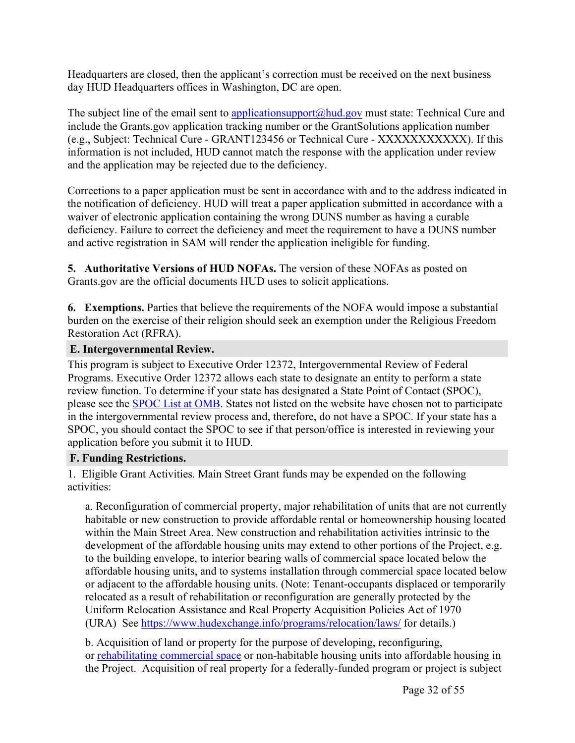Headquarters are closed, then the applicant's correction must be received on the next business day HUD Headquarters offices in Washington, DC are open.

The subject line of the email sent to [applicationsupport@hud.gov](mailto:applicationsupport@hud.gov) must state: Technical Cure and include the Grants.gov application tracking number or the GrantSolutions application number (e.g., Subject: Technical Cure - GRANT123456 or Technical Cure - XXXXXXXXXXX). If this information is not included, HUD cannot match the response with the application under review and the application may be rejected due to the deficiency.

Corrections to a paper application must be sent in accordance with and to the address indicated in the notification of deficiency. HUD will treat a paper application submitted in accordance with a waiver of electronic application containing the wrong DUNS number as having a curable deficiency. Failure to correct the deficiency and meet the requirement to have a DUNS number and active registration in SAM will render the application ineligible for funding.

**5. Authoritative Versions of HUD NOFAs.** The version of these NOFAs as posted on Grants.gov are the official documents HUD uses to solicit applications.

**6. Exemptions.** Parties that believe the requirements of the NOFA would impose a substantial burden on the exercise of their religion should seek an exemption under the Religious Freedom Restoration Act (RFRA).

## <span id="page-32-0"></span>**E. Intergovernmental Review.**

This program is subject to Executive Order 12372, Intergovernmental Review of Federal Programs. Executive Order 12372 allows each state to designate an entity to perform a state review function. To determine if your state has designated a State Point of Contact (SPOC), please see the [SPOC](https://www.whitehouse.gov/omb/management/office-federal-financial-management/) List at OMB. States not listed on the website have chosen not to participate in the intergovernmental review process and, therefore, do not have a SPOC. If your state has a SPOC, you should contact the SPOC to see if that person/office is interested in reviewing your application before you submit it to HUD.

#### <span id="page-32-1"></span>**F. Funding Restrictions.**

1. Eligible Grant Activities. Main Street Grant funds may be expended on the following activities:

a. Reconfiguration of commercial property, major rehabilitation of units that are not currently habitable or new construction to provide affordable rental or homeownership housing located within the Main Street Area. New construction and rehabilitation activities intrinsic to the development of the affordable housing units may extend to other portions of the Project, e.g. to the building envelope, to interior bearing walls of commercial space located below the affordable housing units, and to systems installation through commercial space located below or adjacent to the affordable housing units. (Note: Tenant-occupants displaced or temporarily relocated as a result of rehabilitation or reconfiguration are generally protected by the Uniform Relocation Assistance and Real Property Acquisition Policies Act of 1970 (URA) See <https://www.hudexchange.info/programs/relocation/laws/> for details.)

b. Acquisition of land or property for the purpose of developing, reconfiguring, or rehabilitating commercial space or non-habitable housing units into affordable housing in the Project. Acquisition of real property for a federally-funded program or project is subject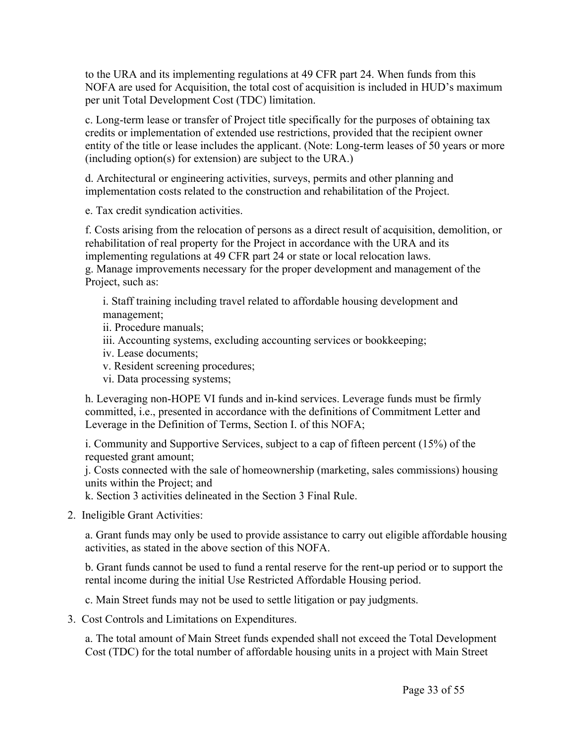to the URA and its implementing regulations at 49 CFR part 24. When funds from this NOFA are used for Acquisition, the total cost of acquisition is included in HUD's maximum per unit Total Development Cost (TDC) limitation.

c. Long-term lease or transfer of Project title specifically for the purposes of obtaining tax credits or implementation of extended use restrictions, provided that the recipient owner entity of the title or lease includes the applicant. (Note: Long-term leases of 50 years or more (including option(s) for extension) are subject to the URA.)

d. Architectural or engineering activities, surveys, permits and other planning and implementation costs related to the construction and rehabilitation of the Project.

e. Tax credit syndication activities.

f. Costs arising from the relocation of persons as a direct result of acquisition, demolition, or rehabilitation of real property for the Project in accordance with the URA and its implementing regulations at 49 CFR part 24 or state or local relocation laws.

g. Manage improvements necessary for the proper development and management of the Project, such as:

i. Staff training including travel related to affordable housing development and management;

ii. Procedure manuals;

- iii. Accounting systems, excluding accounting services or bookkeeping;
- iv. Lease documents;
- v. Resident screening procedures;
- vi. Data processing systems;

h. Leveraging non-HOPE VI funds and in-kind services. Leverage funds must be firmly committed, i.e., presented in accordance with the definitions of Commitment Letter and Leverage in the Definition of Terms, Section I. of this NOFA;

i. Community and Supportive Services, subject to a cap of fifteen percent (15%) of the requested grant amount;

j. Costs connected with the sale of homeownership (marketing, sales commissions) housing units within the Project; and

k. Section 3 activities delineated in the Section 3 Final Rule.

2. Ineligible Grant Activities:

a. Grant funds may only be used to provide assistance to carry out eligible affordable housing activities, as stated in the above section of this NOFA.

b. Grant funds cannot be used to fund a rental reserve for the rent-up period or to support the rental income during the initial Use Restricted Affordable Housing period.

c. Main Street funds may not be used to settle litigation or pay judgments.

3. Cost Controls and Limitations on Expenditures.

a. The total amount of Main Street funds expended shall not exceed the Total Development Cost (TDC) for the total number of affordable housing units in a project with Main Street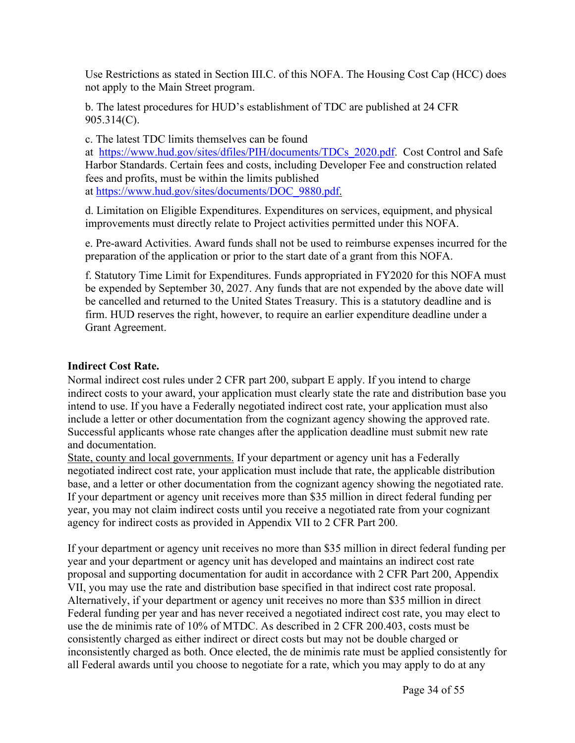Use Restrictions as stated in Section III.C. of this NOFA. The Housing Cost Cap (HCC) does not apply to the Main Street program.

b. The latest procedures for HUD's establishment of TDC are published at 24 CFR 905.314(C).

c. The latest TDC limits themselves can be found

at [https://www.hud.gov/sites/dfiles/PIH/documents/TDCs\\_2020.pdf](https://www.hud.gov/sites/dfiles/PIH/documents/TDCs_2020.pdf). Cost Control and Safe Harbor Standards. Certain fees and costs, including Developer Fee and construction related fees and profits, must be within the limits published at [https://www.hud.gov/sites/documents/DOC\\_9880.pdf](https://www.hud.gov/sites/documents/DOC_9880.pdf).

d. Limitation on Eligible Expenditures. Expenditures on services, equipment, and physical improvements must directly relate to Project activities permitted under this NOFA.

e. Pre-award Activities. Award funds shall not be used to reimburse expenses incurred for the preparation of the application or prior to the start date of a grant from this NOFA.

f. Statutory Time Limit for Expenditures. Funds appropriated in FY2020 for this NOFA must be expended by September 30, 2027. Any funds that are not expended by the above date will be cancelled and returned to the United States Treasury. This is a statutory deadline and is firm. HUD reserves the right, however, to require an earlier expenditure deadline under a Grant Agreement.

#### **Indirect Cost Rate.**

Normal indirect cost rules under 2 CFR part 200, subpart E apply. If you intend to charge indirect costs to your award, your application must clearly state the rate and distribution base you intend to use. If you have a Federally negotiated indirect cost rate, your application must also include a letter or other documentation from the cognizant agency showing the approved rate. Successful applicants whose rate changes after the application deadline must submit new rate and documentation.

State, county and local governments. If your department or agency unit has a Federally negotiated indirect cost rate, your application must include that rate, the applicable distribution base, and a letter or other documentation from the cognizant agency showing the negotiated rate. If your department or agency unit receives more than \$35 million in direct federal funding per year, you may not claim indirect costs until you receive a negotiated rate from your cognizant agency for indirect costs as provided in Appendix VII to 2 CFR Part 200.

If your department or agency unit receives no more than \$35 million in direct federal funding per year and your department or agency unit has developed and maintains an indirect cost rate proposal and supporting documentation for audit in accordance with 2 CFR Part 200, Appendix VII, you may use the rate and distribution base specified in that indirect cost rate proposal. Alternatively, if your department or agency unit receives no more than \$35 million in direct Federal funding per year and has never received a negotiated indirect cost rate, you may elect to use the de minimis rate of 10% of MTDC. As described in 2 CFR 200.403, costs must be consistently charged as either indirect or direct costs but may not be double charged or inconsistently charged as both. Once elected, the de minimis rate must be applied consistently for all Federal awards until you choose to negotiate for a rate, which you may apply to do at any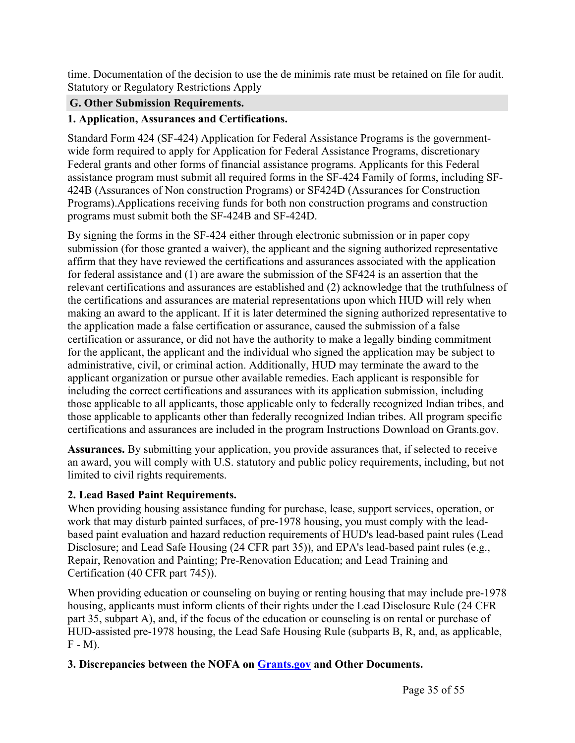time. Documentation of the decision to use the de minimis rate must be retained on file for audit. Statutory or Regulatory Restrictions Apply

## <span id="page-35-0"></span>**G. Other Submission Requirements.**

## **1. Application, Assurances and Certifications.**

Standard Form 424 (SF-424) Application for Federal Assistance Programs is the governmentwide form required to apply for Application for Federal Assistance Programs, discretionary Federal grants and other forms of financial assistance programs. Applicants for this Federal assistance program must submit all required forms in the SF-424 Family of forms, including SF-424B (Assurances of Non construction Programs) or SF424D (Assurances for Construction Programs).Applications receiving funds for both non construction programs and construction programs must submit both the SF-424B and SF-424D.

By signing the forms in the SF-424 either through electronic submission or in paper copy submission (for those granted a waiver), the applicant and the signing authorized representative affirm that they have reviewed the certifications and assurances associated with the application for federal assistance and (1) are aware the submission of the SF424 is an assertion that the relevant certifications and assurances are established and (2) acknowledge that the truthfulness of the certifications and assurances are material representations upon which HUD will rely when making an award to the applicant. If it is later determined the signing authorized representative to the application made a false certification or assurance, caused the submission of a false certification or assurance, or did not have the authority to make a legally binding commitment for the applicant, the applicant and the individual who signed the application may be subject to administrative, civil, or criminal action. Additionally, HUD may terminate the award to the applicant organization or pursue other available remedies. Each applicant is responsible for including the correct certifications and assurances with its application submission, including those applicable to all applicants, those applicable only to federally recognized Indian tribes, and those applicable to applicants other than federally recognized Indian tribes. All program specific certifications and assurances are included in the program Instructions Download on Grants.gov.

**Assurances.** By submitting your application, you provide assurances that, if selected to receive an award, you will comply with U.S. statutory and public policy requirements, including, but not limited to civil rights requirements.

## **2. Lead Based Paint Requirements.**

When providing housing assistance funding for purchase, lease, support services, operation, or work that may disturb painted surfaces, of pre-1978 housing, you must comply with the leadbased paint evaluation and hazard reduction requirements of HUD's lead-based paint rules (Lead Disclosure; and Lead Safe Housing (24 CFR part 35)), and EPA's lead-based paint rules (e.g., Repair, Renovation and Painting; Pre-Renovation Education; and Lead Training and Certification (40 CFR part 745)).

When providing education or counseling on buying or renting housing that may include pre-1978 housing, applicants must inform clients of their rights under the Lead Disclosure Rule (24 CFR part 35, subpart A), and, if the focus of the education or counseling is on rental or purchase of HUD-assisted pre-1978 housing, the Lead Safe Housing Rule (subparts B, R, and, as applicable,  $F - M$ ).

## **3. Discrepancies between the NOFA on [Grants.gov](http://Grants.gov) and Other Documents.**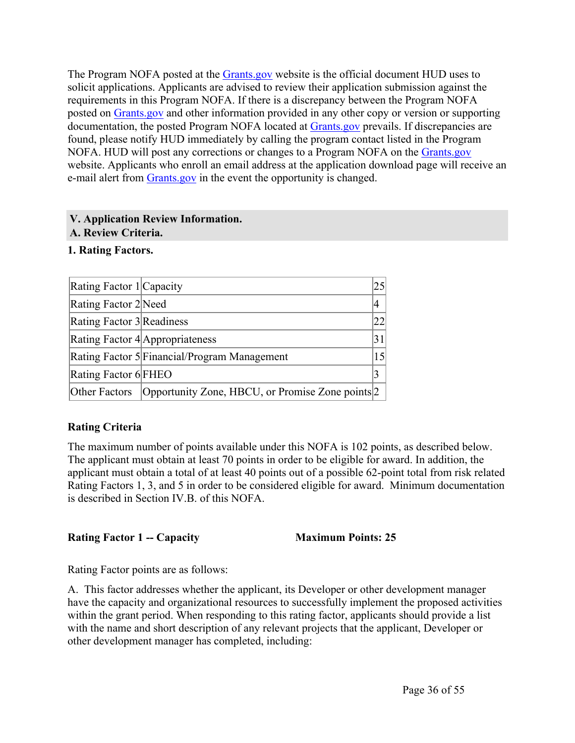The Program NOFA posted at the [Grants.gov](http://Grants.gov) website is the official document HUD uses to solicit applications. Applicants are advised to review their application submission against the requirements in this Program NOFA. If there is a discrepancy between the Program NOFA posted on [Grants.gov](http://Grants.gov) and other information provided in any other copy or version or supporting documentation, the posted Program NOFA located at [Grants.gov](https://www.grants.gov) prevails. If discrepancies are found, please notify HUD immediately by calling the program contact listed in the Program NOFA. HUD will post any corrections or changes to a Program NOFA on the [Grants.gov](http://Grants.gov) website. Applicants who enroll an email address at the application download page will receive an e-mail alert from [Grants.gov](http://Grants.gov) in the event the opportunity is changed.

#### <span id="page-36-0"></span>**V. Application Review Information.**

#### <span id="page-36-1"></span>**A. Review Criteria.**

## **1. Rating Factors.**

| Rating Factor 1 Capacity  |                                                  | 25 |
|---------------------------|--------------------------------------------------|----|
| Rating Factor 2 Need      |                                                  | 4  |
| Rating Factor 3 Readiness |                                                  | 22 |
|                           | Rating Factor 4 Appropriateness                  | 31 |
|                           | Rating Factor 5 Financial/Program Management     |    |
| Rating Factor 6 FHEO      |                                                  | 3  |
| Other Factors             | Opportunity Zone, HBCU, or Promise Zone points 2 |    |

## **Rating Criteria**

The maximum number of points available under this NOFA is 102 points, as described below. The applicant must obtain at least 70 points in order to be eligible for award. In addition, the applicant must obtain a total of at least 40 points out of a possible 62-point total from risk related Rating Factors 1, 3, and 5 in order to be considered eligible for award. Minimum documentation is described in Section IV.B. of this NOFA.

**Rating Factor 1 -- Capacity Maximum Points: 25**

Rating Factor points are as follows:

A. This factor addresses whether the applicant, its Developer or other development manager have the capacity and organizational resources to successfully implement the proposed activities within the grant period. When responding to this rating factor, applicants should provide a list with the name and short description of any relevant projects that the applicant, Developer or other development manager has completed, including: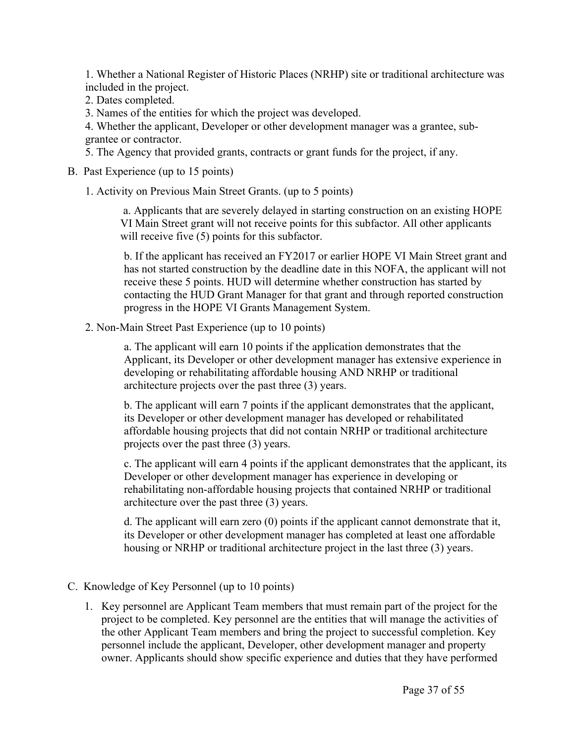1. Whether a National Register of Historic Places (NRHP) site or traditional architecture was included in the project.

2. Dates completed.

3. Names of the entities for which the project was developed.

4. Whether the applicant, Developer or other development manager was a grantee, subgrantee or contractor.

5. The Agency that provided grants, contracts or grant funds for the project, if any.

B. Past Experience (up to 15 points)

1. Activity on Previous Main Street Grants. (up to 5 points)

a. Applicants that are severely delayed in starting construction on an existing HOPE VI Main Street grant will not receive points for this subfactor. All other applicants will receive five (5) points for this subfactor.

b. If the applicant has received an FY2017 or earlier HOPE VI Main Street grant and has not started construction by the deadline date in this NOFA, the applicant will not receive these 5 points. HUD will determine whether construction has started by contacting the HUD Grant Manager for that grant and through reported construction progress in the HOPE VI Grants Management System.

2. Non-Main Street Past Experience (up to 10 points)

a. The applicant will earn 10 points if the application demonstrates that the Applicant, its Developer or other development manager has extensive experience in developing or rehabilitating affordable housing AND NRHP or traditional architecture projects over the past three (3) years.

b. The applicant will earn 7 points if the applicant demonstrates that the applicant, its Developer or other development manager has developed or rehabilitated affordable housing projects that did not contain NRHP or traditional architecture projects over the past three (3) years.

c. The applicant will earn 4 points if the applicant demonstrates that the applicant, its Developer or other development manager has experience in developing or rehabilitating non-affordable housing projects that contained NRHP or traditional architecture over the past three (3) years.

d. The applicant will earn zero (0) points if the applicant cannot demonstrate that it, its Developer or other development manager has completed at least one affordable housing or NRHP or traditional architecture project in the last three (3) years.

## C. Knowledge of Key Personnel (up to 10 points)

1. Key personnel are Applicant Team members that must remain part of the project for the project to be completed. Key personnel are the entities that will manage the activities of the other Applicant Team members and bring the project to successful completion. Key personnel include the applicant, Developer, other development manager and property owner. Applicants should show specific experience and duties that they have performed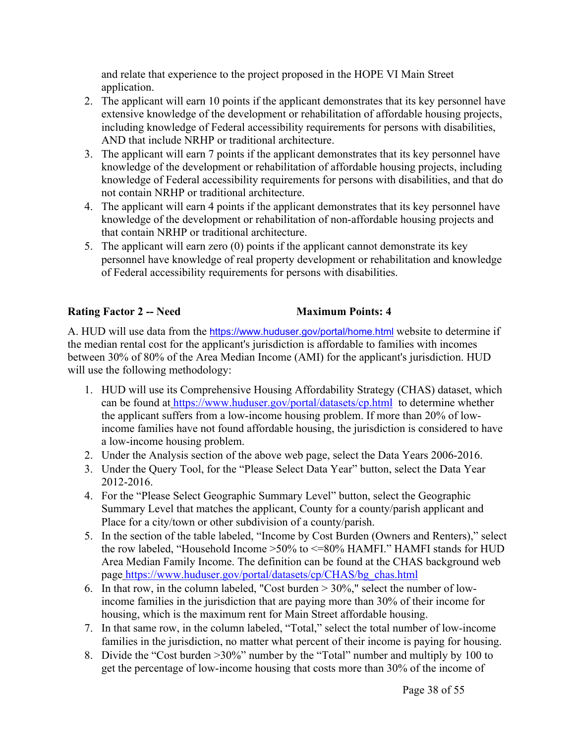and relate that experience to the project proposed in the HOPE VI Main Street application.

- 2. The applicant will earn 10 points if the applicant demonstrates that its key personnel have extensive knowledge of the development or rehabilitation of affordable housing projects, including knowledge of Federal accessibility requirements for persons with disabilities, AND that include NRHP or traditional architecture.
- 3. The applicant will earn 7 points if the applicant demonstrates that its key personnel have knowledge of the development or rehabilitation of affordable housing projects, including knowledge of Federal accessibility requirements for persons with disabilities, and that do not contain NRHP or traditional architecture.
- 4. The applicant will earn 4 points if the applicant demonstrates that its key personnel have knowledge of the development or rehabilitation of non-affordable housing projects and that contain NRHP or traditional architecture.
- 5. The applicant will earn zero (0) points if the applicant cannot demonstrate its key personnel have knowledge of real property development or rehabilitation and knowledge of Federal accessibility requirements for persons with disabilities.

## **Rating Factor 2 -- Need Maximum Points: 4**

A. HUD will use data from the <https://www.huduser.gov/portal/home.html> website to determine if the median rental cost for the applicant's jurisdiction is affordable to families with incomes between 30% of 80% of the Area Median Income (AMI) for the applicant's jurisdiction. HUD will use the following methodology:

- 1. HUD will use its Comprehensive Housing Affordability Strategy (CHAS) dataset, which can be found at <https://www.huduser.gov/portal/datasets/cp.html> to determine whether the applicant suffers from a low-income housing problem. If more than 20% of lowincome families have not found affordable housing, the jurisdiction is considered to have a low-income housing problem.
- 2. Under the Analysis section of the above web page, select the Data Years 2006-2016.
- 3. Under the Query Tool, for the "Please Select Data Year" button, select the Data Year 2012-2016.
- 4. For the "Please Select Geographic Summary Level" button, select the Geographic Summary Level that matches the applicant, County for a county/parish applicant and Place for a city/town or other subdivision of a county/parish.
- 5. In the section of the table labeled, "Income by Cost Burden (Owners and Renters)," select the row labeled, "Household Income >50% to <=80% HAMFI." HAMFI stands for HUD Area Median Family Income. The definition can be found at the CHAS background web page [https://www.huduser.gov/portal/datasets/cp/CHAS/bg\\_chas.html](https://www.huduser.gov/portal/datasets/cp/CHAS/bg_chas.html)
- 6. In that row, in the column labeled, "Cost burden > 30%," select the number of lowincome families in the jurisdiction that are paying more than 30% of their income for housing, which is the maximum rent for Main Street affordable housing.
- 7. In that same row, in the column labeled, "Total," select the total number of low-income families in the jurisdiction, no matter what percent of their income is paying for housing.
- 8. Divide the "Cost burden >30%" number by the "Total" number and multiply by 100 to get the percentage of low-income housing that costs more than 30% of the income of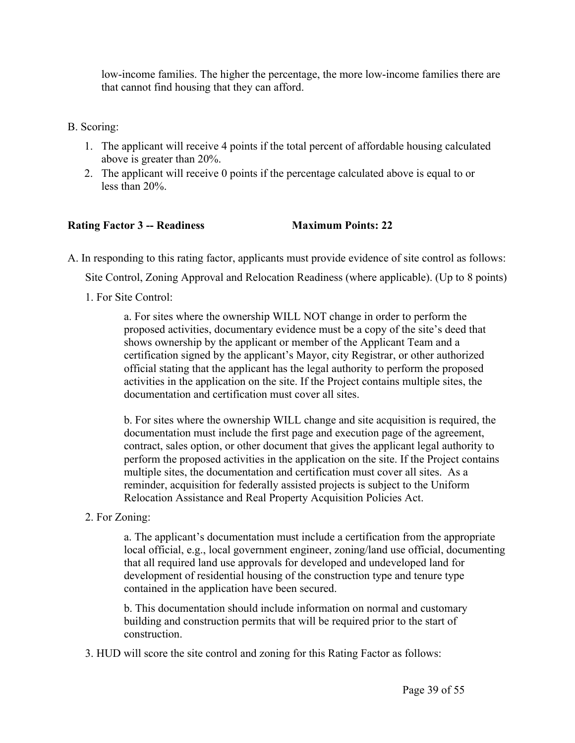low-income families. The higher the percentage, the more low-income families there are that cannot find housing that they can afford.

- B. Scoring:
	- 1. The applicant will receive 4 points if the total percent of affordable housing calculated above is greater than 20%.
	- 2. The applicant will receive 0 points if the percentage calculated above is equal to or less than 20%.

#### **Rating Factor 3 -- Readiness Maximum Points: 22**

A. In responding to this rating factor, applicants must provide evidence of site control as follows:

Site Control, Zoning Approval and Relocation Readiness (where applicable). (Up to 8 points)

1. For Site Control:

a. For sites where the ownership WILL NOT change in order to perform the proposed activities, documentary evidence must be a copy of the site's deed that shows ownership by the applicant or member of the Applicant Team and a certification signed by the applicant's Mayor, city Registrar, or other authorized official stating that the applicant has the legal authority to perform the proposed activities in the application on the site. If the Project contains multiple sites, the documentation and certification must cover all sites.

b. For sites where the ownership WILL change and site acquisition is required, the documentation must include the first page and execution page of the agreement, contract, sales option, or other document that gives the applicant legal authority to perform the proposed activities in the application on the site. If the Project contains multiple sites, the documentation and certification must cover all sites. As a reminder, acquisition for federally assisted projects is subject to the Uniform Relocation Assistance and Real Property Acquisition Policies Act.

#### 2. For Zoning:

a. The applicant's documentation must include a certification from the appropriate local official, e.g., local government engineer, zoning/land use official, documenting that all required land use approvals for developed and undeveloped land for development of residential housing of the construction type and tenure type contained in the application have been secured.

b. This documentation should include information on normal and customary building and construction permits that will be required prior to the start of construction.

3. HUD will score the site control and zoning for this Rating Factor as follows: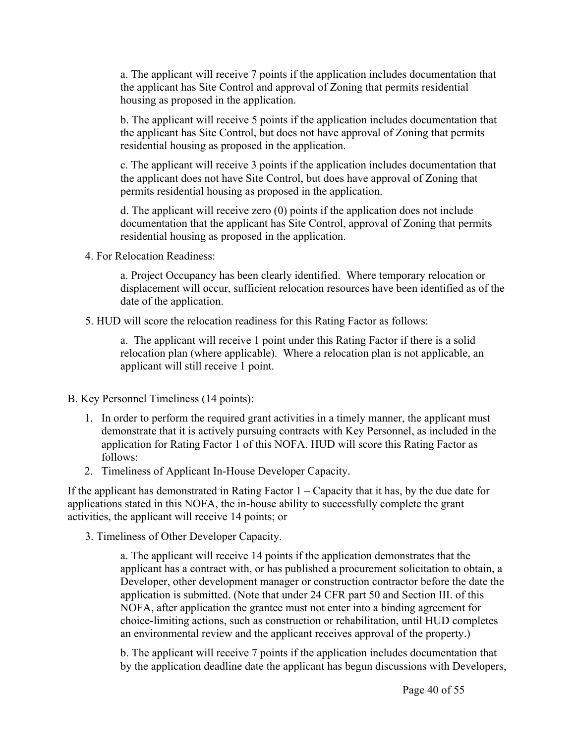a. The applicant will receive 7 points if the application includes documentation that the applicant has Site Control and approval of Zoning that permits residential housing as proposed in the application.

b. The applicant will receive 5 points if the application includes documentation that the applicant has Site Control, but does not have approval of Zoning that permits residential housing as proposed in the application.

c. The applicant will receive 3 points if the application includes documentation that the applicant does not have Site Control, but does have approval of Zoning that permits residential housing as proposed in the application.

d. The applicant will receive zero (0) points if the application does not include documentation that the applicant has Site Control, approval of Zoning that permits residential housing as proposed in the application.

4. For Relocation Readiness:

a. Project Occupancy has been clearly identified. Where temporary relocation or displacement will occur, sufficient relocation resources have been identified as of the date of the application.

5. HUD will score the relocation readiness for this Rating Factor as follows:

a. The applicant will receive 1 point under this Rating Factor if there is a solid relocation plan (where applicable). Where a relocation plan is not applicable, an applicant will still receive 1 point.

B. Key Personnel Timeliness (14 points):

- 1. In order to perform the required grant activities in a timely manner, the applicant must demonstrate that it is actively pursuing contracts with Key Personnel, as included in the application for Rating Factor 1 of this NOFA. HUD will score this Rating Factor as follows:
- 2. Timeliness of Applicant In-House Developer Capacity.

If the applicant has demonstrated in Rating Factor  $1 -$ Capacity that it has, by the due date for applications stated in this NOFA, the in-house ability to successfully complete the grant activities, the applicant will receive 14 points; or

3. Timeliness of Other Developer Capacity.

a. The applicant will receive 14 points if the application demonstrates that the applicant has a contract with, or has published a procurement solicitation to obtain, a Developer, other development manager or construction contractor before the date the application is submitted. (Note that under 24 CFR part 50 and Section III. of this NOFA, after application the grantee must not enter into a binding agreement for choice-limiting actions, such as construction or rehabilitation, until HUD completes an environmental review and the applicant receives approval of the property.)

b. The applicant will receive 7 points if the application includes documentation that by the application deadline date the applicant has begun discussions with Developers,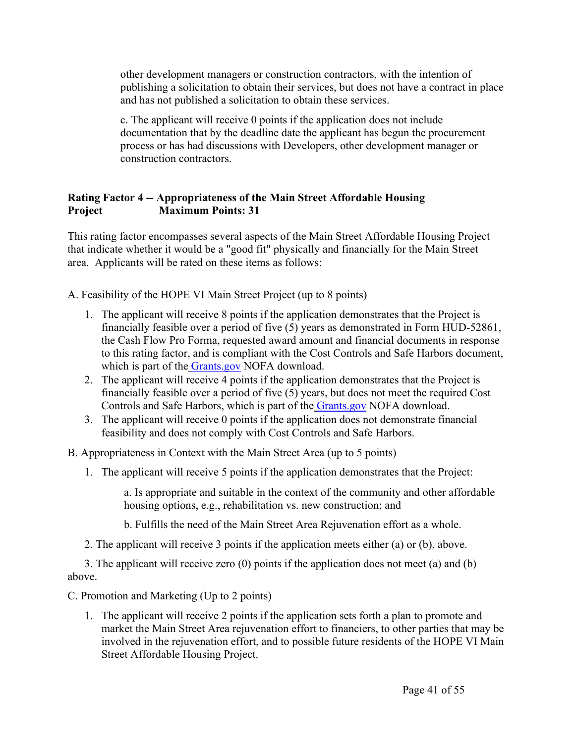other development managers or construction contractors, with the intention of publishing a solicitation to obtain their services, but does not have a contract in place and has not published a solicitation to obtain these services.

c. The applicant will receive 0 points if the application does not include documentation that by the deadline date the applicant has begun the procurement process or has had discussions with Developers, other development manager or construction contractors.

## **Rating Factor 4 -- Appropriateness of the Main Street Affordable Housing Project Maximum Points: 31**

This rating factor encompasses several aspects of the Main Street Affordable Housing Project that indicate whether it would be a "good fit" physically and financially for the Main Street area. Applicants will be rated on these items as follows:

A. Feasibility of the HOPE VI Main Street Project (up to 8 points)

- 1. The applicant will receive 8 points if the application demonstrates that the Project is financially feasible over a period of five  $(5)$  years as demonstrated in Form HUD-52861, the Cash Flow Pro Forma, requested award amount and financial documents in response to this rating factor, and is compliant with the Cost Controls and Safe Harbors document, which is part of the [Grants.gov](https://www.grants.gov) NOFA download.
- 2. The applicant will receive 4 points if the application demonstrates that the Project is financially feasible over a period of five (5) years, but does not meet the required Cost Controls and Safe Harbors, which is part of the [Grants.gov](https://www.grants.gov) NOFA download.
- 3. The applicant will receive 0 points if the application does not demonstrate financial feasibility and does not comply with Cost Controls and Safe Harbors.

B. Appropriateness in Context with the Main Street Area (up to 5 points)

1. The applicant will receive 5 points if the application demonstrates that the Project:

a. Is appropriate and suitable in the context of the community and other affordable housing options, e.g., rehabilitation vs. new construction; and

b. Fulfills the need of the Main Street Area Rejuvenation effort as a whole.

2. The applicant will receive 3 points if the application meets either (a) or (b), above.

3. The applicant will receive zero (0) points if the application does not meet (a) and (b) above.

C. Promotion and Marketing (Up to 2 points)

1. The applicant will receive 2 points if the application sets forth a plan to promote and market the Main Street Area rejuvenation effort to financiers, to other parties that may be involved in the rejuvenation effort, and to possible future residents of the HOPE VI Main Street Affordable Housing Project.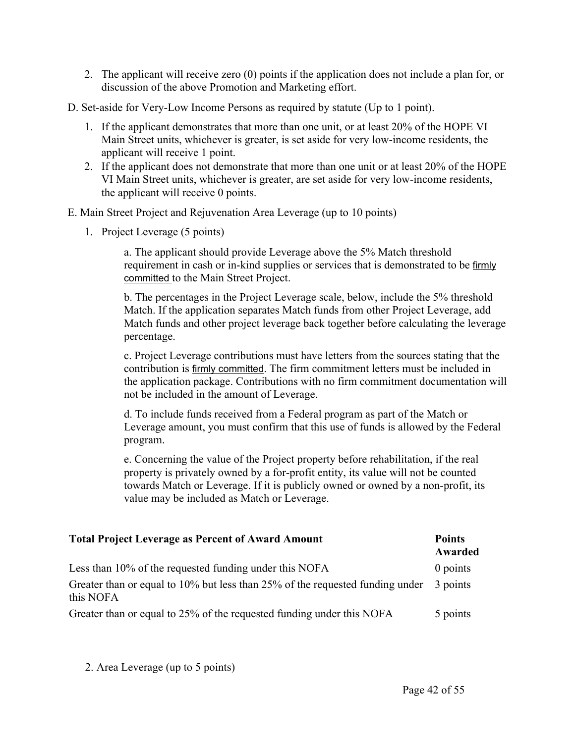- 2. The applicant will receive zero (0) points if the application does not include a plan for, or discussion of the above Promotion and Marketing effort.
- D. Set-aside for Very-Low Income Persons as required by statute (Up to 1 point).
	- 1. If the applicant demonstrates that more than one unit, or at least 20% of the HOPE VI Main Street units, whichever is greater, is set aside for very low-income residents, the applicant will receive 1 point.
	- 2. If the applicant does not demonstrate that more than one unit or at least 20% of the HOPE VI Main Street units, whichever is greater, are set aside for very low-income residents, the applicant will receive 0 points.

E. Main Street Project and Rejuvenation Area Leverage (up to 10 points)

1. Project Leverage (5 points)

a. The applicant should provide Leverage above the 5% Match threshold requirement in cash or in-kind supplies or services that is demonstrated to be firmly committed to the Main Street Project.

b. The percentages in the Project Leverage scale, below, include the 5% threshold Match. If the application separates Match funds from other Project Leverage, add Match funds and other project leverage back together before calculating the leverage percentage.

c. Project Leverage contributions must have letters from the sources stating that the contribution is firmly committed. The firm commitment letters must be included in the application package. Contributions with no firm commitment documentation will not be included in the amount of Leverage.

d. To include funds received from a Federal program as part of the Match or Leverage amount, you must confirm that this use of funds is allowed by the Federal program.

e. Concerning the value of the Project property before rehabilitation, if the real property is privately owned by a for-profit entity, its value will not be counted towards Match or Leverage. If it is publicly owned or owned by a non-profit, its value may be included as Match or Leverage.

| <b>Total Project Leverage as Percent of Award Amount</b>                                      | <b>Points</b><br>Awarded |
|-----------------------------------------------------------------------------------------------|--------------------------|
| Less than 10% of the requested funding under this NOFA                                        | $0$ points               |
| Greater than or equal to $10\%$ but less than 25% of the requested funding under<br>this NOFA | 3 points                 |
| Greater than or equal to 25% of the requested funding under this NOFA                         | 5 points                 |

2. Area Leverage (up to 5 points)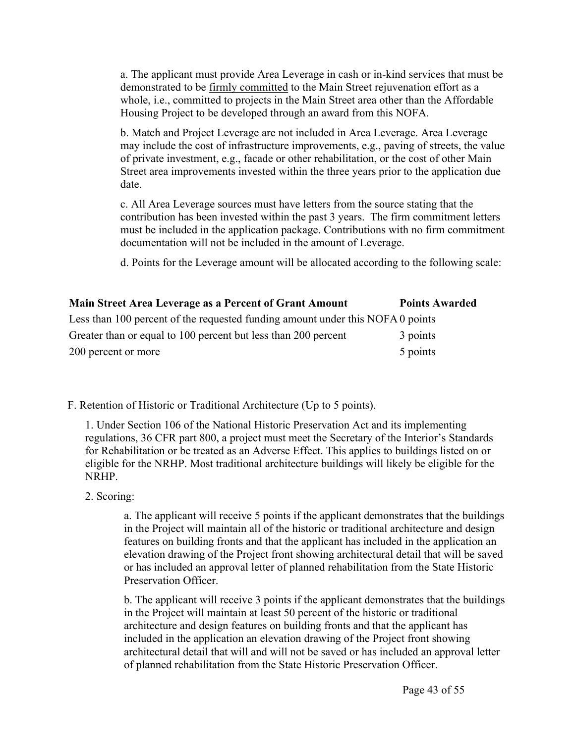a. The applicant must provide Area Leverage in cash or in-kind services that must be demonstrated to be firmly committed to the Main Street rejuvenation effort as a whole, i.e., committed to projects in the Main Street area other than the Affordable Housing Project to be developed through an award from this NOFA.

b. Match and Project Leverage are not included in Area Leverage. Area Leverage may include the cost of infrastructure improvements, e.g., paving of streets, the value of private investment, e.g., facade or other rehabilitation, or the cost of other Main Street area improvements invested within the three years prior to the application due date.

c. All Area Leverage sources must have letters from the source stating that the contribution has been invested within the past 3 years. The firm commitment letters must be included in the application package. Contributions with no firm commitment documentation will not be included in the amount of Leverage.

d. Points for the Leverage amount will be allocated according to the following scale:

| Main Street Area Leverage as a Percent of Grant Amount                         | <b>Points Awarded</b> |
|--------------------------------------------------------------------------------|-----------------------|
| Less than 100 percent of the requested funding amount under this NOFA 0 points |                       |
| Greater than or equal to 100 percent but less than 200 percent                 | 3 points              |
| 200 percent or more                                                            | 5 points              |

F. Retention of Historic or Traditional Architecture (Up to 5 points).

1. Under Section 106 of the National Historic Preservation Act and its implementing regulations, 36 CFR part 800, a project must meet the Secretary of the Interior's Standards for Rehabilitation or be treated as an Adverse Effect. This applies to buildings listed on or eligible for the NRHP. Most traditional architecture buildings will likely be eligible for the NRHP.

2. Scoring:

a. The applicant will receive 5 points if the applicant demonstrates that the buildings in the Project will maintain all of the historic or traditional architecture and design features on building fronts and that the applicant has included in the application an elevation drawing of the Project front showing architectural detail that will be saved or has included an approval letter of planned rehabilitation from the State Historic Preservation Officer.

b. The applicant will receive 3 points if the applicant demonstrates that the buildings in the Project will maintain at least 50 percent of the historic or traditional architecture and design features on building fronts and that the applicant has included in the application an elevation drawing of the Project front showing architectural detail that will and will not be saved or has included an approval letter of planned rehabilitation from the State Historic Preservation Officer.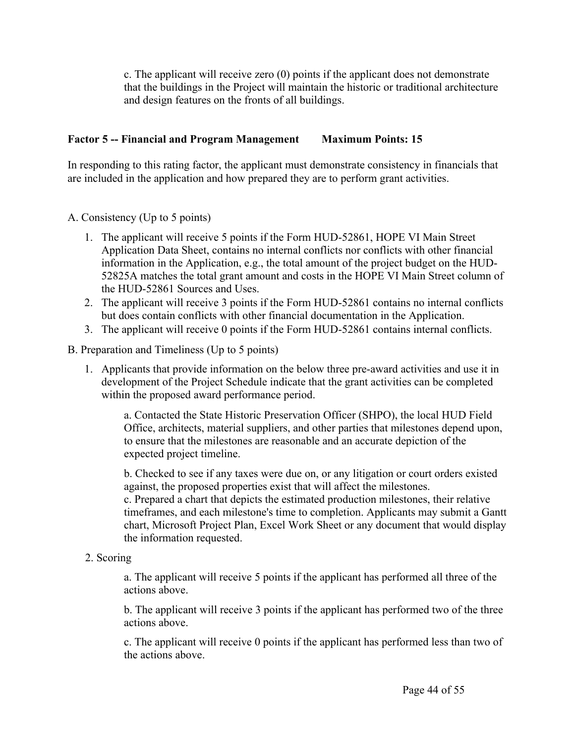c. The applicant will receive zero (0) points if the applicant does not demonstrate that the buildings in the Project will maintain the historic or traditional architecture and design features on the fronts of all buildings.

## **Factor 5 -- Financial and Program Management Maximum Points: 15**

In responding to this rating factor, the applicant must demonstrate consistency in financials that are included in the application and how prepared they are to perform grant activities.

#### A. Consistency (Up to 5 points)

- 1. The applicant will receive 5 points if the Form HUD-52861, HOPE VI Main Street Application Data Sheet, contains no internal conflicts nor conflicts with other financial information in the Application, e.g., the total amount of the project budget on the HUD-52825A matches the total grant amount and costs in the HOPE VI Main Street column of the HUD-52861 Sources and Uses.
- 2. The applicant will receive 3 points if the Form HUD-52861 contains no internal conflicts but does contain conflicts with other financial documentation in the Application.
- 3. The applicant will receive 0 points if the Form HUD-52861 contains internal conflicts.
- B. Preparation and Timeliness (Up to 5 points)
	- 1. Applicants that provide information on the below three pre-award activities and use it in development of the Project Schedule indicate that the grant activities can be completed within the proposed award performance period.

a. Contacted the State Historic Preservation Officer (SHPO), the local HUD Field Office, architects, material suppliers, and other parties that milestones depend upon, to ensure that the milestones are reasonable and an accurate depiction of the expected project timeline.

b. Checked to see if any taxes were due on, or any litigation or court orders existed against, the proposed properties exist that will affect the milestones. c. Prepared a chart that depicts the estimated production milestones, their relative timeframes, and each milestone's time to completion. Applicants may submit a Gantt chart, Microsoft Project Plan, Excel Work Sheet or any document that would display the information requested.

2. Scoring

a. The applicant will receive 5 points if the applicant has performed all three of the actions above.

b. The applicant will receive 3 points if the applicant has performed two of the three actions above.

c. The applicant will receive 0 points if the applicant has performed less than two of the actions above.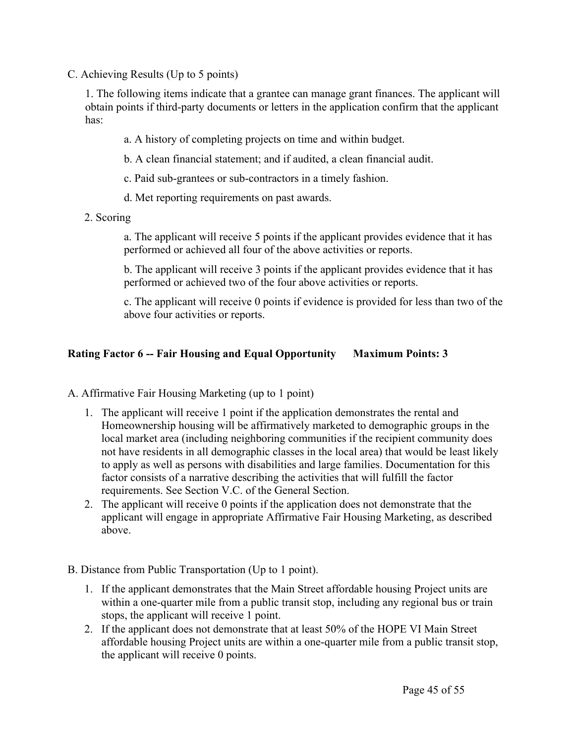C. Achieving Results (Up to 5 points)

1. The following items indicate that a grantee can manage grant finances. The applicant will obtain points if third-party documents or letters in the application confirm that the applicant has:

- a. A history of completing projects on time and within budget.
- b. A clean financial statement; and if audited, a clean financial audit.
- c. Paid sub-grantees or sub-contractors in a timely fashion.
- d. Met reporting requirements on past awards.
- 2. Scoring

a. The applicant will receive 5 points if the applicant provides evidence that it has performed or achieved all four of the above activities or reports.

b. The applicant will receive 3 points if the applicant provides evidence that it has performed or achieved two of the four above activities or reports.

c. The applicant will receive 0 points if evidence is provided for less than two of the above four activities or reports.

#### **Rating Factor 6 -- Fair Housing and Equal Opportunity Maximum Points: 3**

A. Affirmative Fair Housing Marketing (up to 1 point)

- 1. The applicant will receive 1 point if the application demonstrates the rental and Homeownership housing will be affirmatively marketed to demographic groups in the local market area (including neighboring communities if the recipient community does not have residents in all demographic classes in the local area) that would be least likely to apply as well as persons with disabilities and large families. Documentation for this factor consists of a narrative describing the activities that will fulfill the factor requirements. See Section V.C. of the General Section.
- 2. The applicant will receive 0 points if the application does not demonstrate that the applicant will engage in appropriate Affirmative Fair Housing Marketing, as described above.
- B. Distance from Public Transportation (Up to 1 point).
	- 1. If the applicant demonstrates that the Main Street affordable housing Project units are within a one-quarter mile from a public transit stop, including any regional bus or train stops, the applicant will receive 1 point.
	- 2. If the applicant does not demonstrate that at least 50% of the HOPE VI Main Street affordable housing Project units are within a one-quarter mile from a public transit stop, the applicant will receive 0 points.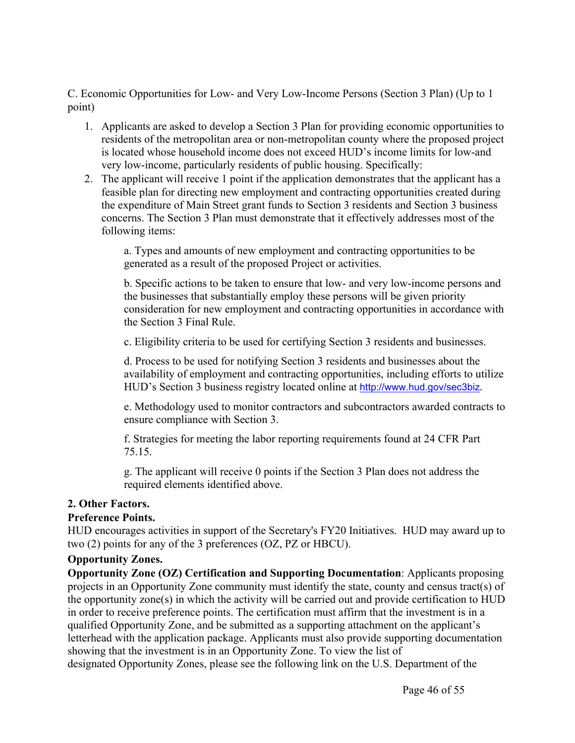C. Economic Opportunities for Low- and Very Low-Income Persons (Section 3 Plan) (Up to 1 point)

- 1. Applicants are asked to develop a Section 3 Plan for providing economic opportunities to residents of the metropolitan area or non-metropolitan county where the proposed project is located whose household income does not exceed HUD's income limits for low-and very low-income, particularly residents of public housing. Specifically:
- 2. The applicant will receive 1 point if the application demonstrates that the applicant has a feasible plan for directing new employment and contracting opportunities created during the expenditure of Main Street grant funds to Section 3 residents and Section 3 business concerns. The Section 3 Plan must demonstrate that it effectively addresses most of the following items:

a. Types and amounts of new employment and contracting opportunities to be generated as a result of the proposed Project or activities.

b. Specific actions to be taken to ensure that low- and very low-income persons and the businesses that substantially employ these persons will be given priority consideration for new employment and contracting opportunities in accordance with the Section 3 Final Rule.

c. Eligibility criteria to be used for certifying Section 3 residents and businesses.

d. Process to be used for notifying Section 3 residents and businesses about the availability of employment and contracting opportunities, including efforts to utilize HUD's Section 3 business registry located online at <http://www.hud.gov/sec3biz>.

e. Methodology used to monitor contractors and subcontractors awarded contracts to ensure compliance with Section 3.

f. Strategies for meeting the labor reporting requirements found at 24 CFR Part 75.15.

g. The applicant will receive 0 points if the Section 3 Plan does not address the required elements identified above.

#### **2. Other Factors.**

#### **Preference Points.**

HUD encourages activities in support of the Secretary's FY20 Initiatives. HUD may award up to two (2) points for any of the 3 preferences (OZ, PZ or HBCU).

#### **Opportunity Zones.**

**Opportunity Zone (OZ) Certification and Supporting Documentation**: Applicants proposing projects in an Opportunity Zone community must identify the state, county and census tract(s) of the opportunity zone(s) in which the activity will be carried out and provide certification to HUD in order to receive preference points. The certification must affirm that the investment is in a qualified Opportunity Zone, and be submitted as a supporting attachment on the applicant's letterhead with the application package. Applicants must also provide supporting documentation showing that the investment is in an Opportunity Zone. To view the list of designated Opportunity Zones, please see the following link on the U.S. Department of the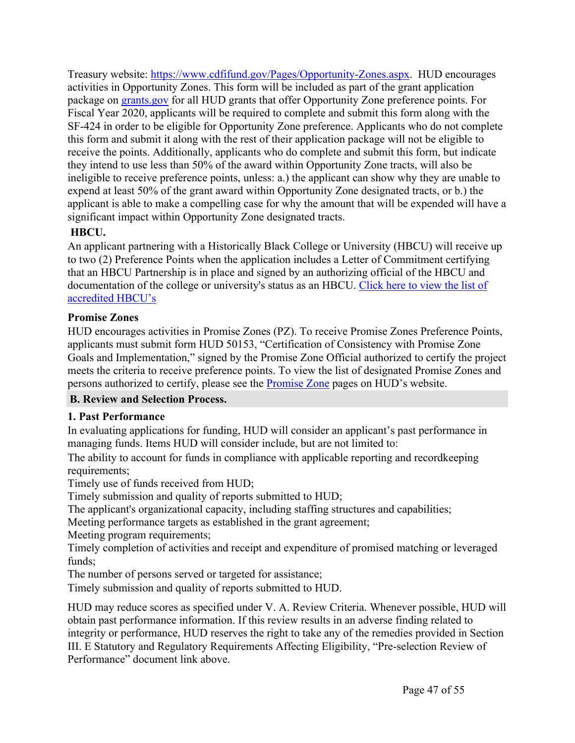Treasury website: <https://www.cdfifund.gov/Pages/Opportunity-Zones.aspx>. HUD encourages activities in Opportunity Zones. This form will be included as part of the grant application package on [grants.gov](http://grants.gov/) for all HUD grants that offer Opportunity Zone preference points. For Fiscal Year 2020, applicants will be required to complete and submit this form along with the SF-424 in order to be eligible for Opportunity Zone preference. Applicants who do not complete this form and submit it along with the rest of their application package will not be eligible to receive the points. Additionally, applicants who do complete and submit this form, but indicate they intend to use less than 50% of the award within Opportunity Zone tracts, will also be ineligible to receive preference points, unless: a.) the applicant can show why they are unable to expend at least 50% of the grant award within Opportunity Zone designated tracts, or b.) the applicant is able to make a compelling case for why the amount that will be expended will have a significant impact within Opportunity Zone designated tracts.

## **HBCU.**

An applicant partnering with a Historically Black College or University (HBCU) will receive up to two (2) Preference Points when the application includes a Letter of Commitment certifying that an HBCU Partnership is in place and signed by an authorizing official of the HBCU and documentation of the college or university's status as an HBCU. [Click](https://sites.ed.gov/whhbcu/one-hundred-and-five-historically-black-colleges-and-universities/) here to view the list of [accredited](https://sites.ed.gov/whhbcu/one-hundred-and-five-historically-black-colleges-and-universities/) HBCU's

## **Promise Zones**

HUD encourages activities in Promise Zones (PZ). To receive Promise Zones Preference Points, applicants must submit form HUD 50153, "Certification of Consistency with Promise Zone Goals and Implementation," signed by the Promise Zone Official authorized to certify the project meets the criteria to receive preference points. To view the list of designated Promise Zones and persons authorized to certify, please see the [Promise](https://www.hudexchange.info/programs/promise-zones/) Zone pages on HUD's website.

## <span id="page-47-0"></span>**B. Review and Selection Process.**

## **1. Past Performance**

In evaluating applications for funding, HUD will consider an applicant's past performance in managing funds. Items HUD will consider include, but are not limited to:

The ability to account for funds in compliance with applicable reporting and recordkeeping requirements:

Timely use of funds received from HUD;

Timely submission and quality of reports submitted to HUD;

The applicant's organizational capacity, including staffing structures and capabilities;

Meeting performance targets as established in the grant agreement;

Meeting program requirements;

Timely completion of activities and receipt and expenditure of promised matching or leveraged funds;

The number of persons served or targeted for assistance;

Timely submission and quality of reports submitted to HUD.

HUD may reduce scores as specified under V. A. Review Criteria. Whenever possible, HUD will obtain past performance information. If this review results in an adverse finding related to integrity or performance, HUD reserves the right to take any of the remedies provided in Section III. E Statutory and Regulatory Requirements Affecting Eligibility, "Pre-selection Review of Performance" document link above.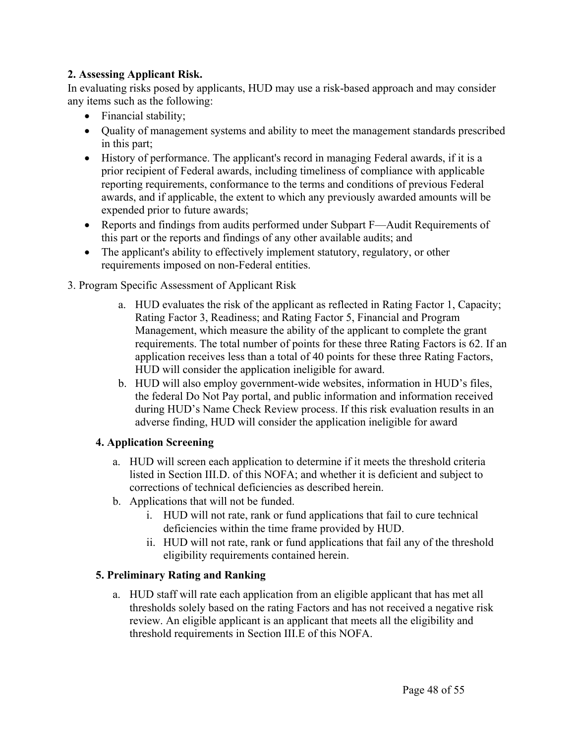## **2. Assessing Applicant Risk.**

In evaluating risks posed by applicants, HUD may use a risk-based approach and may consider any items such as the following:

- Financial stability;
- Quality of management systems and ability to meet the management standards prescribed in this part;
- History of performance. The applicant's record in managing Federal awards, if it is a prior recipient of Federal awards, including timeliness of compliance with applicable reporting requirements, conformance to the terms and conditions of previous Federal awards, and if applicable, the extent to which any previously awarded amounts will be expended prior to future awards;
- Reports and findings from audits performed under Subpart F—Audit Requirements of this part or the reports and findings of any other available audits; and
- The applicant's ability to effectively implement statutory, regulatory, or other requirements imposed on non-Federal entities.

## 3. Program Specific Assessment of Applicant Risk

- a. HUD evaluates the risk of the applicant as reflected in Rating Factor 1, Capacity; Rating Factor 3, Readiness; and Rating Factor 5, Financial and Program Management, which measure the ability of the applicant to complete the grant requirements. The total number of points for these three Rating Factors is 62. If an application receives less than a total of 40 points for these three Rating Factors, HUD will consider the application ineligible for award.
- b. HUD will also employ government-wide websites, information in HUD's files, the federal Do Not Pay portal, and public information and information received during HUD's Name Check Review process. If this risk evaluation results in an adverse finding, HUD will consider the application ineligible for award

## **4. Application Screening**

- a. HUD will screen each application to determine if it meets the threshold criteria listed in Section III.D. of this NOFA; and whether it is deficient and subject to corrections of technical deficiencies as described herein.
- b. Applications that will not be funded.
	- i. HUD will not rate, rank or fund applications that fail to cure technical deficiencies within the time frame provided by HUD.
	- ii. HUD will not rate, rank or fund applications that fail any of the threshold eligibility requirements contained herein.

## **5. Preliminary Rating and Ranking**

a. HUD staff will rate each application from an eligible applicant that has met all thresholds solely based on the rating Factors and has not received a negative risk review. An eligible applicant is an applicant that meets all the eligibility and threshold requirements in Section III.E of this NOFA.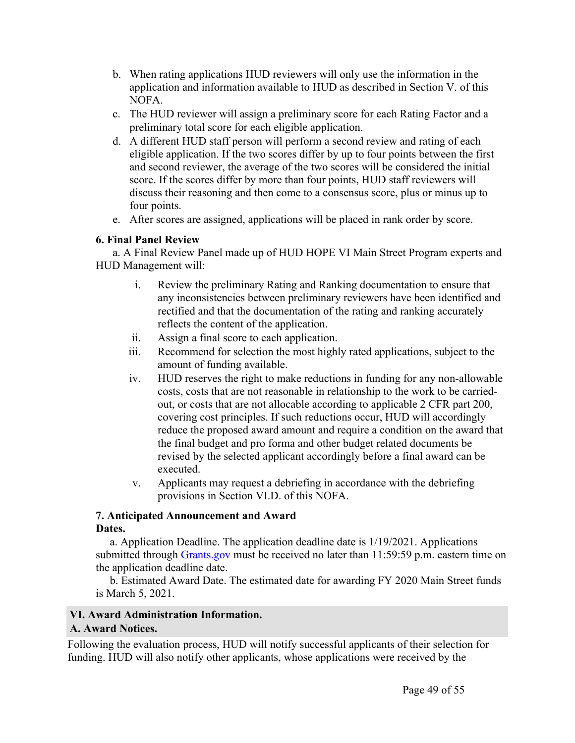- b. When rating applications HUD reviewers will only use the information in the application and information available to HUD as described in Section V. of this NOFA.
- c. The HUD reviewer will assign a preliminary score for each Rating Factor and a preliminary total score for each eligible application.
- d. A different HUD staff person will perform a second review and rating of each eligible application. If the two scores differ by up to four points between the first and second reviewer, the average of the two scores will be considered the initial score. If the scores differ by more than four points, HUD staff reviewers will discuss their reasoning and then come to a consensus score, plus or minus up to four points.
- e. After scores are assigned, applications will be placed in rank order by score.

## **6. Final Panel Review**

a. A Final Review Panel made up of HUD HOPE VI Main Street Program experts and HUD Management will:

- i. Review the preliminary Rating and Ranking documentation to ensure that any inconsistencies between preliminary reviewers have been identified and rectified and that the documentation of the rating and ranking accurately reflects the content of the application.
- ii. Assign a final score to each application.
- iii. Recommend for selection the most highly rated applications, subject to the amount of funding available.
- iv. HUD reserves the right to make reductions in funding for any non-allowable costs, costs that are not reasonable in relationship to the work to be carriedout, or costs that are not allocable according to applicable 2 CFR part 200, covering cost principles. If such reductions occur, HUD will accordingly reduce the proposed award amount and require a condition on the award that the final budget and pro forma and other budget related documents be revised by the selected applicant accordingly before a final award can be executed.
- v. Applicants may request a debriefing in accordance with the debriefing provisions in Section VI.D. of this NOFA.

## **7. Anticipated Announcement and Award**

#### **Dates.**

a. Application Deadline. The application deadline date is 1/19/2021. Applications submitted through [Grants.gov](http://www.Grants.gov) must be received no later than 11:59:59 p.m. eastern time on the application deadline date.

b. Estimated Award Date. The estimated date for awarding FY 2020 Main Street funds is March 5, 2021.

#### <span id="page-49-0"></span>**VI. Award Administration Information.**

#### <span id="page-49-1"></span>**A. Award Notices.**

Following the evaluation process, HUD will notify successful applicants of their selection for funding. HUD will also notify other applicants, whose applications were received by the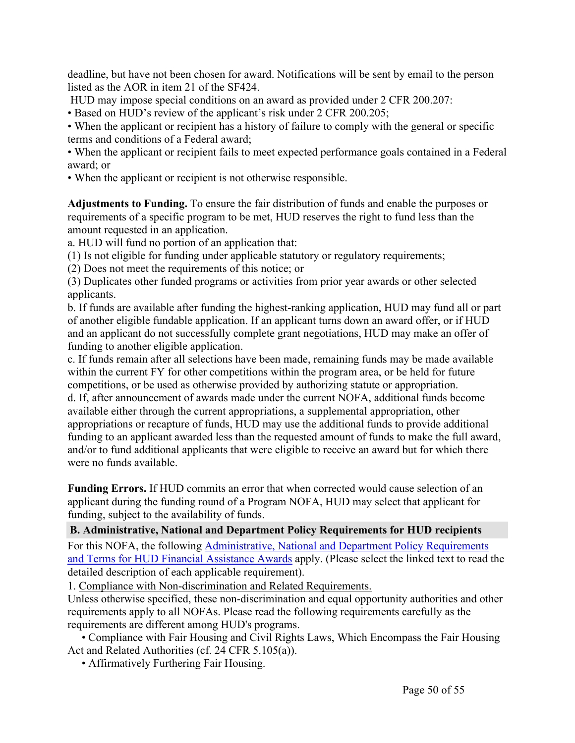deadline, but have not been chosen for award. Notifications will be sent by email to the person listed as the AOR in item 21 of the SF424.

HUD may impose special conditions on an award as provided under 2 CFR 200.207:

• Based on HUD's review of the applicant's risk under 2 CFR 200.205;

• When the applicant or recipient has a history of failure to comply with the general or specific terms and conditions of a Federal award;

• When the applicant or recipient fails to meet expected performance goals contained in a Federal award; or

• When the applicant or recipient is not otherwise responsible.

**Adjustments to Funding.** To ensure the fair distribution of funds and enable the purposes or requirements of a specific program to be met, HUD reserves the right to fund less than the amount requested in an application.

a. HUD will fund no portion of an application that:

(1) Is not eligible for funding under applicable statutory or regulatory requirements;

(2) Does not meet the requirements of this notice; or

(3) Duplicates other funded programs or activities from prior year awards or other selected applicants.

b. If funds are available after funding the highest-ranking application, HUD may fund all or part of another eligible fundable application. If an applicant turns down an award offer, or if HUD and an applicant do not successfully complete grant negotiations, HUD may make an offer of funding to another eligible application.

c. If funds remain after all selections have been made, remaining funds may be made available within the current FY for other competitions within the program area, or be held for future competitions, or be used as otherwise provided by authorizing statute or appropriation. d. If, after announcement of awards made under the current NOFA, additional funds become available either through the current appropriations, a supplemental appropriation, other appropriations or recapture of funds, HUD may use the additional funds to provide additional funding to an applicant awarded less than the requested amount of funds to make the full award, and/or to fund additional applicants that were eligible to receive an award but for which there were no funds available.

**Funding Errors.** If HUD commits an error that when corrected would cause selection of an applicant during the funding round of a Program NOFA, HUD may select that applicant for funding, subject to the availability of funds.

## <span id="page-50-0"></span>**B. Administrative, National and Department Policy Requirements for HUD recipients**

For this NOFA, the following [Administrative,](https://www.hud.gov/sites/dfiles/CFO/images/General%20Administration%20Requirements%20and%20Terms%20for%20HUD%20Assistance%20Awards.docx) National and Department Policy Requirements and Terms for HUD Financial [Assistance](https://www.hud.gov/sites/dfiles/CFO/images/General%20Administration%20Requirements%20and%20Terms%20for%20HUD%20Assistance%20Awards.docx) Awards apply. (Please select the linked text to read the detailed description of each applicable requirement).

1. Compliance with Non-discrimination and Related Requirements.

Unless otherwise specified, these non-discrimination and equal opportunity authorities and other requirements apply to all NOFAs. Please read the following requirements carefully as the requirements are different among HUD's programs.

• Compliance with Fair Housing and Civil Rights Laws, Which Encompass the Fair Housing Act and Related Authorities (cf. 24 CFR 5.105(a)).

• Affirmatively Furthering Fair Housing.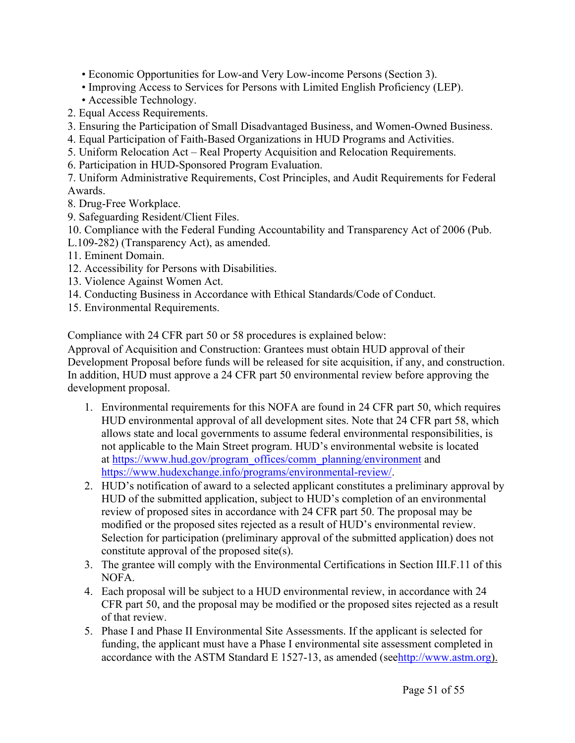• Economic Opportunities for Low-and Very Low-income Persons (Section 3).

- Improving Access to Services for Persons with Limited English Proficiency (LEP).
- Accessible Technology.
- 2. Equal Access Requirements.
- 3. Ensuring the Participation of Small Disadvantaged Business, and Women-Owned Business.
- 4. Equal Participation of Faith-Based Organizations in HUD Programs and Activities.
- 5. Uniform Relocation Act Real Property Acquisition and Relocation Requirements.
- 6. Participation in HUD-Sponsored Program Evaluation.

7. Uniform Administrative Requirements, Cost Principles, and Audit Requirements for Federal Awards.

- 8. Drug-Free Workplace.
- 9. Safeguarding Resident/Client Files.
- 10. Compliance with the Federal Funding Accountability and Transparency Act of 2006 (Pub.
- L.109-282) (Transparency Act), as amended.
- 11. Eminent Domain.
- 12. Accessibility for Persons with Disabilities.
- 13. Violence Against Women Act.
- 14. Conducting Business in Accordance with Ethical Standards/Code of Conduct.
- 15. Environmental Requirements.

Compliance with 24 CFR part 50 or 58 procedures is explained below:

Approval of Acquisition and Construction: Grantees must obtain HUD approval of their Development Proposal before funds will be released for site acquisition, if any, and construction. In addition, HUD must approve a 24 CFR part 50 environmental review before approving the development proposal.

- 1. Environmental requirements for this NOFA are found in 24 CFR part 50, which requires HUD environmental approval of all development sites. Note that 24 CFR part 58, which allows state and local governments to assume federal environmental responsibilities, is not applicable to the Main Street program. HUD's environmental website is located at [https://www.hud.gov/program\\_offices/comm\\_planning/environment](https://www.hud.gov/program_offices/comm_planning/environment) and <https://www.hudexchange.info/programs/environmental-review/>.
- 2. HUD's notification of award to a selected applicant constitutes a preliminary approval by HUD of the submitted application, subject to HUD's completion of an environmental review of proposed sites in accordance with 24 CFR part 50. The proposal may be modified or the proposed sites rejected as a result of HUD's environmental review. Selection for participation (preliminary approval of the submitted application) does not constitute approval of the proposed site(s).
- 3. The grantee will comply with the Environmental Certifications in Section III.F.11 of this NOFA.
- 4. Each proposal will be subject to a HUD environmental review, in accordance with 24 CFR part 50, and the proposal may be modified or the proposed sites rejected as a result of that review.
- 5. Phase I and Phase II Environmental Site Assessments. If the applicant is selected for funding, the applicant must have a Phase I environmental site assessment completed in accordance with the ASTM Standard E 1527-13, as amended (see<http://www.astm.org>).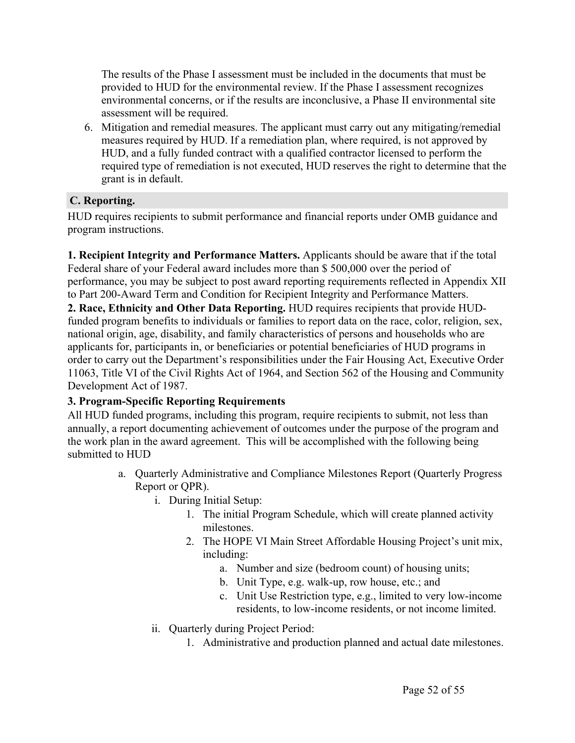The results of the Phase I assessment must be included in the documents that must be provided to HUD for the environmental review. If the Phase I assessment recognizes environmental concerns, or if the results are inconclusive, a Phase II environmental site assessment will be required.

6. Mitigation and remedial measures. The applicant must carry out any mitigating/remedial measures required by HUD. If a remediation plan, where required, is not approved by HUD, and a fully funded contract with a qualified contractor licensed to perform the required type of remediation is not executed, HUD reserves the right to determine that the grant is in default.

## <span id="page-52-0"></span>**C. Reporting.**

HUD requires recipients to submit performance and financial reports under OMB guidance and program instructions.

**1. Recipient Integrity and Performance Matters.** Applicants should be aware that if the total Federal share of your Federal award includes more than \$ 500,000 over the period of performance, you may be subject to post award reporting requirements reflected in Appendix XII to Part 200-Award Term and Condition for Recipient Integrity and Performance Matters.

**2. Race, Ethnicity and Other Data Reporting.** HUD requires recipients that provide HUDfunded program benefits to individuals or families to report data on the race, color, religion, sex, national origin, age, disability, and family characteristics of persons and households who are applicants for, participants in, or beneficiaries or potential beneficiaries of HUD programs in order to carry out the Department's responsibilities under the Fair Housing Act, Executive Order 11063, Title VI of the Civil Rights Act of 1964, and Section 562 of the Housing and Community Development Act of 1987.

#### **3. Program-Specific Reporting Requirements**

All HUD funded programs, including this program, require recipients to submit, not less than annually, a report documenting achievement of outcomes under the purpose of the program and the work plan in the award agreement. This will be accomplished with the following being submitted to HUD

- a. Quarterly Administrative and Compliance Milestones Report (Quarterly Progress Report or QPR).
	- i. During Initial Setup:
		- 1. The initial Program Schedule, which will create planned activity milestones.
		- 2. The HOPE VI Main Street Affordable Housing Project's unit mix, including:
			- a. Number and size (bedroom count) of housing units;
			- b. Unit Type, e.g. walk-up, row house, etc.; and
			- c. Unit Use Restriction type, e.g., limited to very low-income residents, to low-income residents, or not income limited.
	- ii. Quarterly during Project Period:
		- 1. Administrative and production planned and actual date milestones.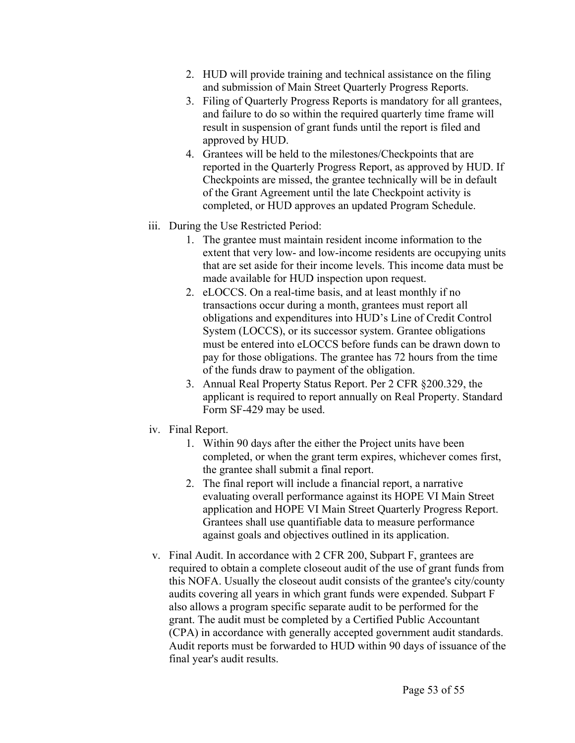- 2. HUD will provide training and technical assistance on the filing and submission of Main Street Quarterly Progress Reports.
- 3. Filing of Quarterly Progress Reports is mandatory for all grantees, and failure to do so within the required quarterly time frame will result in suspension of grant funds until the report is filed and approved by HUD.
- 4. Grantees will be held to the milestones/Checkpoints that are reported in the Quarterly Progress Report, as approved by HUD. If Checkpoints are missed, the grantee technically will be in default of the Grant Agreement until the late Checkpoint activity is completed, or HUD approves an updated Program Schedule.
- iii. During the Use Restricted Period:
	- 1. The grantee must maintain resident income information to the extent that very low- and low-income residents are occupying units that are set aside for their income levels. This income data must be made available for HUD inspection upon request.
	- 2. eLOCCS. On a real-time basis, and at least monthly if no transactions occur during a month, grantees must report all obligations and expenditures into HUD's Line of Credit Control System (LOCCS), or its successor system. Grantee obligations must be entered into eLOCCS before funds can be drawn down to pay for those obligations. The grantee has 72 hours from the time of the funds draw to payment of the obligation.
	- 3. Annual Real Property Status Report. Per 2 CFR §200.329, the applicant is required to report annually on Real Property. Standard Form SF-429 may be used.
- iv. Final Report.
	- 1. Within 90 days after the either the Project units have been completed, or when the grant term expires, whichever comes first, the grantee shall submit a final report.
	- 2. The final report will include a financial report, a narrative evaluating overall performance against its HOPE VI Main Street application and HOPE VI Main Street Quarterly Progress Report. Grantees shall use quantifiable data to measure performance against goals and objectives outlined in its application.
- v. Final Audit. In accordance with 2 CFR 200, Subpart F, grantees are required to obtain a complete closeout audit of the use of grant funds from this NOFA. Usually the closeout audit consists of the grantee's city/county audits covering all years in which grant funds were expended. Subpart F also allows a program specific separate audit to be performed for the grant. The audit must be completed by a Certified Public Accountant (CPA) in accordance with generally accepted government audit standards. Audit reports must be forwarded to HUD within 90 days of issuance of the final year's audit results.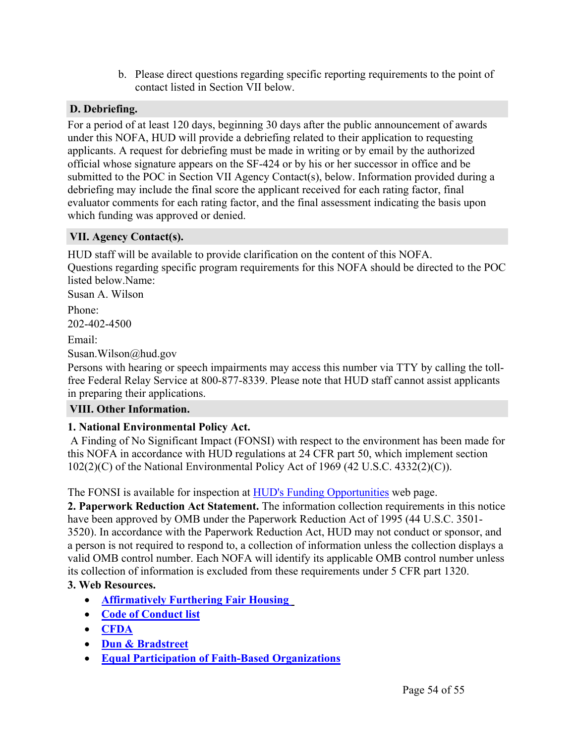b. Please direct questions regarding specific reporting requirements to the point of contact listed in Section VII below.

## <span id="page-54-0"></span>**D. Debriefing.**

For a period of at least 120 days, beginning 30 days after the public announcement of awards under this NOFA, HUD will provide a debriefing related to their application to requesting applicants. A request for debriefing must be made in writing or by email by the authorized official whose signature appears on the SF-424 or by his or her successor in office and be submitted to the POC in Section VII Agency Contact(s), below. Information provided during a debriefing may include the final score the applicant received for each rating factor, final evaluator comments for each rating factor, and the final assessment indicating the basis upon which funding was approved or denied.

## <span id="page-54-1"></span>**VII. Agency Contact(s).**

HUD staff will be available to provide clarification on the content of this NOFA. Questions regarding specific program requirements for this NOFA should be directed to the POC listed below.Name:

Susan A. Wilson

Phone:

202-402-4500

Email:

Susan.Wilson@hud.gov

Persons with hearing or speech impairments may access this number via TTY by calling the tollfree Federal Relay Service at 800-877-8339. Please note that HUD staff cannot assist applicants in preparing their applications.

## <span id="page-54-2"></span>**VIII. Other Information.**

## **1. National Environmental Policy Act.**

A Finding of No Significant Impact (FONSI) with respect to the environment has been made for this NOFA in accordance with HUD regulations at 24 CFR part 50, which implement section  $102(2)(C)$  of the National Environmental Policy Act of 1969 (42 U.S.C. 4332 $(2)(C)$ ).

The FONSI is available for inspection at HUD's Funding [Opportunities](https://www.hud.gov/program_offices/spm/gmomgmt/grantsinfo/fundingopps) web page.

**2. Paperwork Reduction Act Statement.** The information collection requirements in this notice have been approved by OMB under the Paperwork Reduction Act of 1995 (44 U.S.C. 3501- 3520). In accordance with the Paperwork Reduction Act, HUD may not conduct or sponsor, and a person is not required to respond to, a collection of information unless the collection displays a valid OMB control number. Each NOFA will identify its applicable OMB control number unless its collection of information is excluded from these requirements under 5 CFR part 1320.

## **3. Web Resources.**

- **[Affirmatively](https://www.hudexchange.info/programs/affh/) Furthering Fair Housing**
- **Code of [Conduct](https://www.hud.gov/program_offices/spm/gmomgmt/grantsinfo/conductgrants) list**
- **[CFDA](https://beta.sam.gov/)**
- **Dun & [Bradstreet](http://fedgov.dnb.com/webform)**
- **Equal Participation of Faith-Based [Organizations](https://www.ecfr.gov/cgi-bin/retrieveECFR?gp=1&SID=d67b2c9e097a45629d959d63e5e4f297&ty=HTML&h=L&mc=true&r=SECTION&n=se24.1.5_1109)**